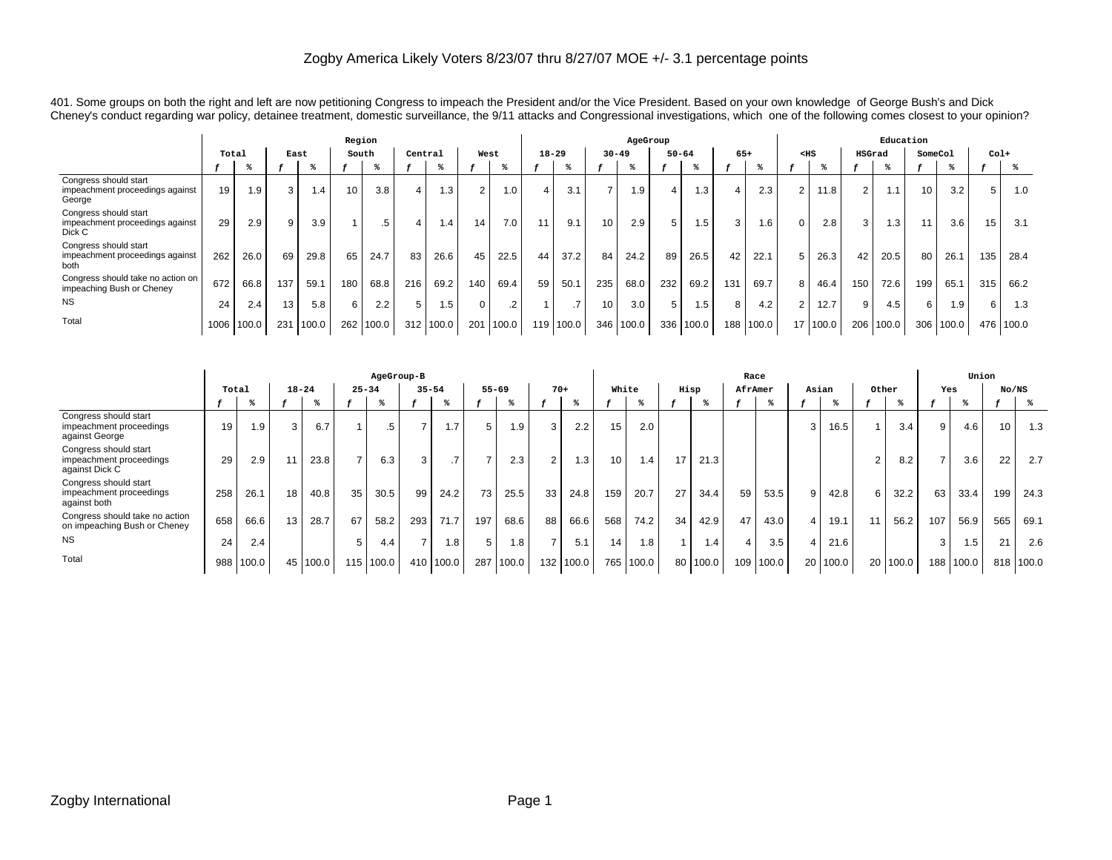401. Some groups on both the right and left are now petitioning Congress to impeach the President and/or the Vice President. Based on your own knowledge of George Bush's and Dick Cheney's conduct regarding war policy, detainee treatment, domestic surveillance, the 9/11 attacks and Congressional investigations, which one of the following comes closest to your opinion?

|                                                                    |       | Region |     |                 |                 |       |         |           |          |           |                  |       |           | AgeGroup |          |           |       |       |          |       |        | Education        |         |       |        |       |
|--------------------------------------------------------------------|-------|--------|-----|-----------------|-----------------|-------|---------|-----------|----------|-----------|------------------|-------|-----------|----------|----------|-----------|-------|-------|----------|-------|--------|------------------|---------|-------|--------|-------|
|                                                                    | Total |        |     | East            | South           |       | Central |           | West     |           | $18 - 29$        |       | $30 - 49$ |          |          | $50 - 64$ | $65+$ |       | $<$ HS   |       | HSGrad |                  | SomeCol |       | $Co1+$ |       |
|                                                                    |       |        |     |                 |                 |       |         |           |          |           |                  |       |           |          |          |           |       |       |          |       |        |                  |         |       |        |       |
| Congress should start<br>impeachment proceedings against<br>George | 19    | 1.9    | 3   | $\overline{.4}$ | 10 <sub>1</sub> | 3.8   | 4       | $\cdot$ 3 | 2        | 1.0       | $\overline{4}$   | 3.1   |           | 1.9      | $\Delta$ | 1.3       |       | 2.3   | 2        | 11.8  | c      | l. 1             | 10      | 3.2   | 5      | 1.0   |
| Congress should start<br>impeachment proceedings against<br>Dick C | 29    | 2.9    | a   | 3.9             |                 | .5    | 4       | $\cdot$ 4 | 14       | 7.0       | 11               | 9.1   | 10        | 2.9      | 5        | 1.5       | 3     | 1.6   | $\Omega$ | 2.8   | 3      | 1.3 <sub>1</sub> | 11      | 3.6   | 15     | 3.1   |
| Congress should start<br>impeachment proceedings against<br>both   | 262   | 26.0   | 69  | 29.8            | 65              | 24.7  | 83      | 26.6      | 45       | 22.5      | 44               | 37.2  | 84        | 24.2     | 89       | 26.5      | 42    | 22.1  | 5        | 26.3  | 42     | 20.5             | 80      | 26.1  | 135    | 28.4  |
| Congress should take no action on<br>impeaching Bush or Cheney     | 672   | 66.8   | 137 | 59.1            | 180             | 68.8  | 216     | 69.2      | 140      | 69.4      | 59               | 50.1  | 235       | 68.0     | 232      | 69.2      | 131   | 69.7  | 8        | 46.4  | 150    | 72.6             | 199     | 65.1  | 315    | 66.2  |
| <b>NS</b>                                                          | 24    | 2.4    | 13  | 5.8             | 6               | 2.2   | 5       | 1.5       | $\Omega$ | $\cdot$ 2 |                  |       | 10        | 3.0      | 5        | 1.5       | 8     | 4.2   | 2        | 12.7  |        | 4.5              | 6       | 1.9   | 6      | 1.3   |
| Total                                                              | 1006  | 100.0  | 231 | 100.0           | 262             | 100.0 | 312     | 100.0     | 201      | 100.0     | 119 <sub>1</sub> | 100.0 | 346       | 100.0    | 336      | 100.0     | 188   | 100.0 | 17       | 100.0 | 206    | 100.0            | 306     | 100.0 | 476    | 100.0 |

|                                                                    |       |       |            |           |     | AgeGroup-B |                          |       |           |       |                |       |                 |           |      |       | Race    |       |   |          |       |       |     | Union |       |       |
|--------------------------------------------------------------------|-------|-------|------------|-----------|-----|------------|--------------------------|-------|-----------|-------|----------------|-------|-----------------|-----------|------|-------|---------|-------|---|----------|-------|-------|-----|-------|-------|-------|
|                                                                    | Total |       |            | $18 - 24$ |     | $25 - 34$  | $35 - 54$                |       | $55 - 69$ |       |                | $70+$ | White           |           | Hisp |       | AfrAmer |       |   | Asian    | Other |       | Yes |       | No/NS |       |
|                                                                    |       |       |            |           |     |            |                          |       |           |       |                |       |                 |           |      |       |         |       |   |          |       |       |     | ႜ     |       |       |
| Congress should start<br>impeachment proceedings<br>against George | 19    | ' 9.، | $\sqrt{2}$ | 6.7       |     | .5         | $\overline{\phantom{a}}$ | 1.7   | 5         | 9.۱   | 3              | 2.2   | 15              | 2.0       |      |       |         |       | 3 | 16.5     |       | 3.4   | 9   | 4.6   | 10    | 1.3   |
| Congress should start<br>impeachment proceedings<br>against Dick C | 29    | 2.9   |            | 23.8      |     | 6.3        | 3                        |       |           | 2.3   | $\overline{2}$ | 1.3   | 10 <sub>1</sub> | 1.4       | 17   | 21.3  |         |       |   |          |       | 8.2   |     | 3.6   | 22    | 2.7   |
| Congress should start<br>impeachment proceedings<br>against both   | 258   | 26.1  | 18         | 40.8      | 35  | 30.5       | 99                       | 24.2  | 73        | 25.5  | 33             | 24.8  | 159             | 20.7      | 27   | 34.4  | 59      | 53.5  | 9 | 42.8     | 6     | 32.2  | 63  | 33.4  | 199   | 24.3  |
| Congress should take no action<br>on impeaching Bush or Cheney     | 658   | 66.6  | 13         | 28.7      | 67  | 58.2       | 293                      | 71.7  | 197       | 68.6  | 88             | 66.6  | 568             | 74.2      | 34   | 42.9  | 47      | 43.0  | 4 | 19.1     |       | 56.2  | 107 | 56.9  | 565   | 69.1  |
| <b>NS</b>                                                          | 24    | 2.4   |            |           | 5   | 4.4        | $\overline{\phantom{a}}$ | 1.8   | 5         | 8.1   | $\overline{ }$ | 5.1   | 14              | 1.8       |      | 1.4   | 4       | 3.5   |   | 21.6     |       |       | 3   | 1.5   | 21    | 2.6   |
| Total                                                              | 988   | 100.0 | 45         | 100.0     | 115 | 100.0      | 410                      | 100.0 | 287       | 100.0 | 132            | 100.0 |                 | 765 100.0 | 80   | 100.0 | 109     | 100.0 |   | 20 100.0 | 20    | 100.0 | 188 | 100.0 | 818   | 100.0 |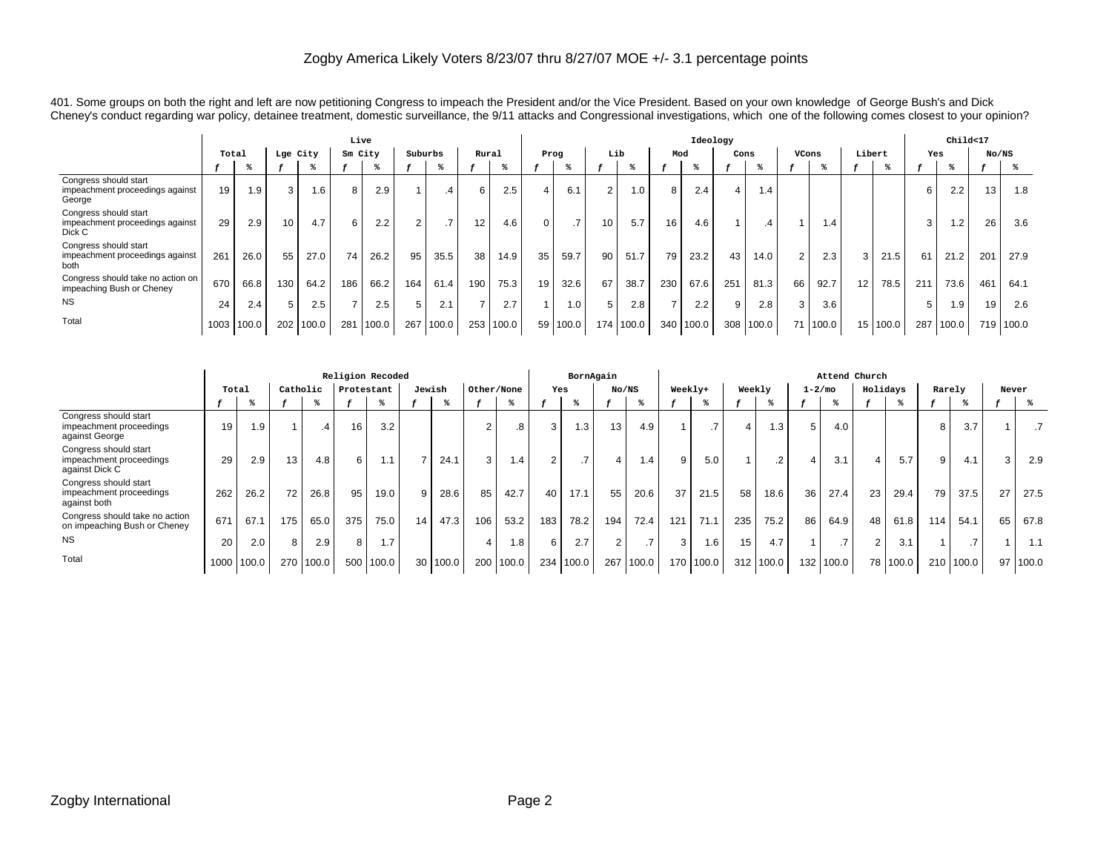401. Some groups on both the right and left are now petitioning Congress to impeach the President and/or the Vice President. Based on your own knowledge of George Bush's and Dick Cheney's conduct regarding war policy, detainee treatment, domestic surveillance, the 9/11 attacks and Congressional investigations, which one of the following comes closest to your opinion?

|                                                                    |       |       |                 |          | Live    |       |         |       |       |       |                |               |                  |       |                | Ideology |      |               |                |                               |        |       |     | Child<17 |       |           |
|--------------------------------------------------------------------|-------|-------|-----------------|----------|---------|-------|---------|-------|-------|-------|----------------|---------------|------------------|-------|----------------|----------|------|---------------|----------------|-------------------------------|--------|-------|-----|----------|-------|-----------|
|                                                                    | Total |       |                 | Lge City | Sm City |       | Suburbs |       | Rural |       | Prog           |               | Lib              |       | Mod            |          | Cons |               | VCons          |                               | Libert |       | Yes |          | No/NS |           |
|                                                                    |       |       |                 |          |         |       |         |       |       |       |                |               |                  |       |                |          |      |               |                |                               |        |       |     |          |       |           |
| Congress should start<br>impeachment proceedings against<br>George | 19    | 1.9   | 3               | $.6\,$   | 8       | 2.9   |         | .4    | 6     | 2.5   | 4              | 6.1           | 2                | 1.0   | 8              | 2.4      | Δ    | 1.4           |                |                               |        |       | 6   | 2.2      | 13    | 1.8       |
| Congress should start<br>impeachment proceedings against<br>Dick C | 29    | 2.9   | 10 <sub>1</sub> | 4.7      | 6       | 2.2   | 2       |       | 12    | 4.6   | 0              | $\rightarrow$ | 10 <sup>1</sup>  | 5.7   | 16             | 4.6      |      | $\mathcal{A}$ |                | $\mathsf{I} \cdot \mathsf{4}$ |        |       | 3   | 1.2      | 26    | 3.6       |
| Congress should start<br>impeachment proceedings against<br>both   | 261   | 26.0  | 55              | 27.0     | 74      | 26.2  | 95      | 35.5  | 38    | 14.9  | 35             | 59.7          | 90               | 51.7  | 79             | 23.2     | 43   | 14.0          | $\overline{2}$ | 2.3 <sub>1</sub>              |        | 21.5  | 61  | 21.2     | 201   | 27.9      |
| Congress should take no action on<br>impeaching Bush or Cheney     | 670   | 66.8  | 130             | 64.2     | 186     | 66.2  | 164     | 61.4  | 190   | 75.3  | 19             | 32.6          | 67               | 38.7  | 230            | 67.6     | 251  | 81.3          | 66             | 92.7                          | 12     | 78.5  | 211 | 73.6     | 461   | 64.1      |
| <b>NS</b>                                                          | 24    | 2.4   | 5               | 2.5      |         | 2.5   | 5       | 2.1   |       | 2.7   | $\overline{A}$ | 1.0           | 5                | 2.8   | $\overline{ }$ | 2.2      | 9    | 2.8           | 3              | 3.6                           |        |       | 5   | 1.9      | 19    | 2.6       |
| Total                                                              | 1003  | 100.0 | 202             | 100.0    | 281     | 100.0 | 267     | 100.0 | 253   | 100.0 |                | 59 100.0      | 174 <sub>1</sub> | 100.0 | 340            | 100.0    |      | 308 100.0     | 71             | 1100.0                        | 15     | 100.0 | 287 | 100.0    |       | 719 100.0 |

|                                                                    |       |       |                 |               |     | Religion Recoded      |        |       |                |                  |                | BornAgain     |       |                  |     |           |        |                  |                  | Attend Church   |          |       |        |       |        |       |
|--------------------------------------------------------------------|-------|-------|-----------------|---------------|-----|-----------------------|--------|-------|----------------|------------------|----------------|---------------|-------|------------------|-----|-----------|--------|------------------|------------------|-----------------|----------|-------|--------|-------|--------|-------|
|                                                                    | Total |       | Catholic        |               |     | Protestant            | Jewish |       | Other/None     |                  | Yes            |               | No/NS |                  |     | Weekly+   | Weekly |                  | $1 - 2/m$ o      |                 | Holidays |       | Rarely |       | Never  |       |
|                                                                    |       |       |                 |               |     |                       |        |       |                |                  |                |               |       |                  |     |           |        |                  |                  |                 |          |       |        |       |        |       |
| Congress should start<br>impeachment proceedings<br>against George | 19    | 1.9   |                 | $\mathcal{A}$ | 16  | 3.2                   |        |       | $\overline{2}$ | 8                | 3              | 1.3           | 13    | 4.9              |     |           |        | 1.3              | 5                | 4.0             |          |       | 8      | 3.7   |        |       |
| Congress should start<br>impeachment proceedings<br>against Dick C | 29    | 2.9   | 13 <sub>1</sub> | 4.8           | 6   | $\overline{ }$        |        | 24.1  | 3              | $\overline{.4}$  | $\overline{2}$ | $\rightarrow$ |       | 1.4 <sup>1</sup> | 9   | 5.0       |        | .2               | 4                | 3.1             | 4        | 5.7   | 9      | 4.1   | $\sim$ | 2.9   |
| Congress should start<br>impeachment proceedings<br>against both   | 262   | 26.2  | 72              | 26.8          | 95  | 19.0                  | 9      | 28.6  | 85             | 42.7             | 40             | 17.1          | 55    | 20.6             | 37  | 21.5      | 58     | 18.6             | 36               | 27.4            | 23       | 29.4  | 79     | 37.5  | 27     | 27.5  |
| Congress should take no action<br>on impeaching Bush or Cheney     | 671   | 67.1  | 175             | 65.0          | 375 | 75.0                  | 14     | 47.3  | 106            | 53.2             | 183            | 78.2          | 194   | 72.4             | 121 | 71.1      | 235    | 75.2             | 86               | 64.9            | 48       | 61.8  | 114    | 54.1  | 65     | 67.8  |
| <b>NS</b>                                                          | 20    | 2.0   | 8               | 2.9           | 8   | 1.7<br>$\overline{A}$ |        |       | $\overline{4}$ | 0.8 <sub>1</sub> | 6              | 2.7           |       |                  | 3   | 1.6       | 15     | 4.7              |                  | $\overline{.7}$ | 2        | 3.1   |        |       |        | 1.1   |
| Total                                                              | 1000  | 100.0 | 270             | 100.0         | 500 | 100.0                 | 30     | 100.0 |                | 200 100.0        |                | 234 100.0     | 267   | 100.0            |     | 170 100.0 |        | $312 \mid 100.0$ | 132 <sub>1</sub> | 100.0           | 78       | 100.0 | 210    | 100.0 | 97     | 100.0 |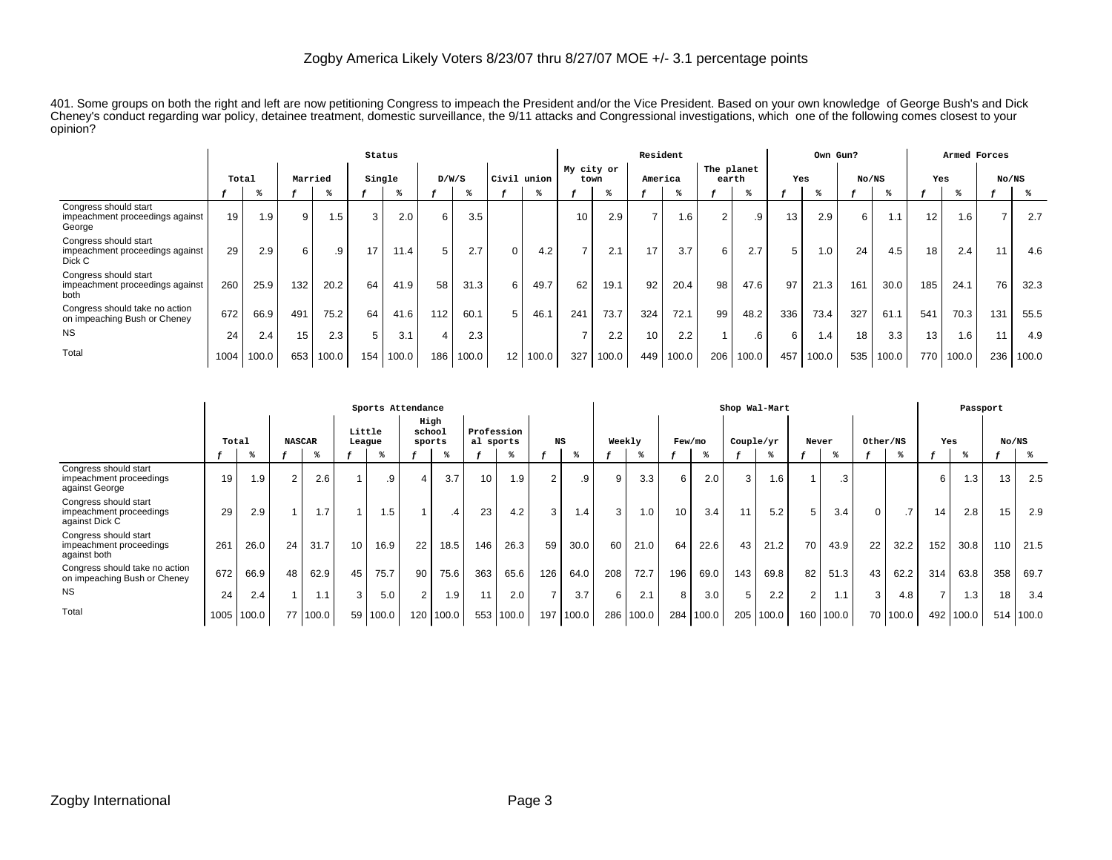401. Some groups on both the right and left are now petitioning Congress to impeach the President and/or the Vice President. Based on your own knowledge of George Bush's and Dick Cheney's conduct regarding war policy, detainee treatment, domestic surveillance, the 9/11 attacks and Congressional investigations, which one of the following comes closest to your opinion?

|                                                                    |       |       |         |       | Status |       |                  |       |                 |       |                    |       | Resident |       |                     |       |     | Own Gun? |       |       |     | Armed Forces |                |       |
|--------------------------------------------------------------------|-------|-------|---------|-------|--------|-------|------------------|-------|-----------------|-------|--------------------|-------|----------|-------|---------------------|-------|-----|----------|-------|-------|-----|--------------|----------------|-------|
|                                                                    | Total |       | Married |       | Single |       | D/W/S            |       | Civil           | union | My city or<br>town |       | America  |       | The planet<br>earth |       | Yes |          | No/NS |       | Yes |              | No/NS          |       |
|                                                                    |       |       |         |       |        |       |                  |       |                 |       |                    |       |          |       |                     |       |     |          |       |       |     |              |                |       |
| Congress should start<br>impeachment proceedings against<br>George | 19    | 1.9   | 9       | I.5   | 3      | 2.0   | 6                | 3.5   |                 |       | 10                 | 2.9   | ⇁        | 1.6   | $\overline{2}$      | .9    | 13  | 2.9      | 6     | 1.1   | 12  | 1.6          | $\overline{ }$ | 2.7   |
| Congress should start<br>impeachment proceedings against<br>Dick C | 29    | 2.9   | 6       | .9    |        | 11.4  | 5                | 2.7   | $\Omega$        | 4.2   | $\rightarrow$      | 2.1   | 17       | 3.7   | 6                   | 2.7   | 5.  | 1.0      | 24    | 4.5   | 18  | 2.4          | 11             | 4.6   |
| Congress should start<br>impeachment proceedings against<br>both   | 260   | 25.9  | 132     | 20.2  | 64     | 41.9  | 58               | 31.3  | 6               | 49.7  | 62                 | 19.1  | 92       | 20.4  | 98                  | 47.6  | 97  | 21.3     | 161   | 30.0  | 185 | 24.1         | 76             | 32.3  |
| Congress should take no action<br>on impeaching Bush or Cheney     | 672   | 66.9  | 491     | 75.2  | 64     | 41.6  | 112              | 60.1  | 5               | 46.1  | 241                | 73.7  | 324      | 72.1  | 99                  | 48.2  | 336 | 73.4     | 327   | 61.1  | 541 | 70.3         | 131            | 55.5  |
| <b>NS</b>                                                          | 24    | 2.4   | 15      | 2.3   | 5      | 3.1   | 4                | 2.3   |                 |       | -                  | 2.2   | 10       | 2.2   |                     | .6    | 6   | 1.4      | 18    | 3.3   | 13  | 1.6          | 11             | 4.9   |
| Total                                                              | 1004  | 100.0 | 653     | 100.0 | 154    | 100.0 | 186 <sub>1</sub> | 100.0 | 12 <sub>1</sub> | 100.0 | 327                | 100.0 | 449      | 100.0 | 206                 | 100.0 | 457 | 100.0    | 535   | 100.0 | 770 | 100.0        | 236            | 100.0 |

|                                                                    |       |       |        |               |        | Sports Attendance |                          |       |                         |       |                |       |        |       |     |        |           | Shop Wal-Mart |       |       |          |                 |                 | Passport |       |           |
|--------------------------------------------------------------------|-------|-------|--------|---------------|--------|-------------------|--------------------------|-------|-------------------------|-------|----------------|-------|--------|-------|-----|--------|-----------|---------------|-------|-------|----------|-----------------|-----------------|----------|-------|-----------|
|                                                                    | Total |       |        | <b>NASCAR</b> | Little | League            | High<br>school<br>sports |       | Profession<br>al sports |       | NS             |       | Weekly |       |     | Few/mo | Couple/yr |               | Never |       | Other/NS |                 | Yes             |          | No/NS |           |
|                                                                    |       |       |        |               |        |                   |                          |       |                         |       |                | ℁     |        |       |     |        |           |               |       |       |          |                 |                 |          |       |           |
| Congress should start<br>impeachment proceedings<br>against George | 19    | 1.9   | $\sim$ | 2.6           |        | .9                |                          | 3.7   | 10                      | 1.9   | $\overline{2}$ | .9    | 9      | 3.3   | 6   | 2.0    | 3         | 1.6           |       | .3    |          |                 | 6               | 1.3      | 13    | 2.5       |
| Congress should start<br>impeachment proceedings<br>against Dick C | 29    | 2.9   |        | 1.7           |        | .5                |                          | .4    | 23                      | 4.2   | 3              | 1.4   | 3      | 1.0   | 10  | 3.4    |           | 5.2           | 5     | 3.4   | 0        | $.7\phantom{0}$ | 14 <sub>1</sub> | 2.8      | 15    | 2.9       |
| Congress should start<br>impeachment proceedings<br>against both   | 261   | 26.0  | 24     | 31.7          | 10     | 16.9              | 22                       | 18.5  | 146                     | 26.3  | 59             | 30.0  | 60     | 21.0  | 64  | 22.6   | 43        | 21.2          | 70    | 43.9  | 22       | 32.2            | 152             | 30.8     | 110   | 21.5      |
| Congress should take no action<br>on impeaching Bush or Cheney     | 672   | 66.9  | 48     | 62.9          | 45     | 75.7              | 90                       | 75.6  | 363                     | 65.6  | 126            | 64.0  | 208    | 72.7  | 196 | 69.0   | 143       | 69.8          | 82    | 51.3  | 43       | 62.2            | 314             | 63.8     | 358   | 69.7      |
| <b>NS</b>                                                          | 24    | 2.4   |        | 1.1           | $\sim$ | 5.0               | 2                        | 1.9   | 11                      | 2.0   | $\overline{7}$ | 3.7   | 6      | 2.1   | 8   | 3.0    | 5         | 2.2           | 2     | 1.1   | 3        | 4.8             | $\overline{ }$  | 1.3      | 18    | 3.4       |
| Total                                                              | 1005  | 100.0 | 77     | 100.0         | 59     | 100.0             | 120                      | 100.0 | 553                     | 100.0 | 197            | 100.0 | 286    | 100.0 | 284 | 100.0  | 205       | 100.0         | 160   | 100.0 |          | 70 100.0        | 492             | 100.0    |       | 514 100.0 |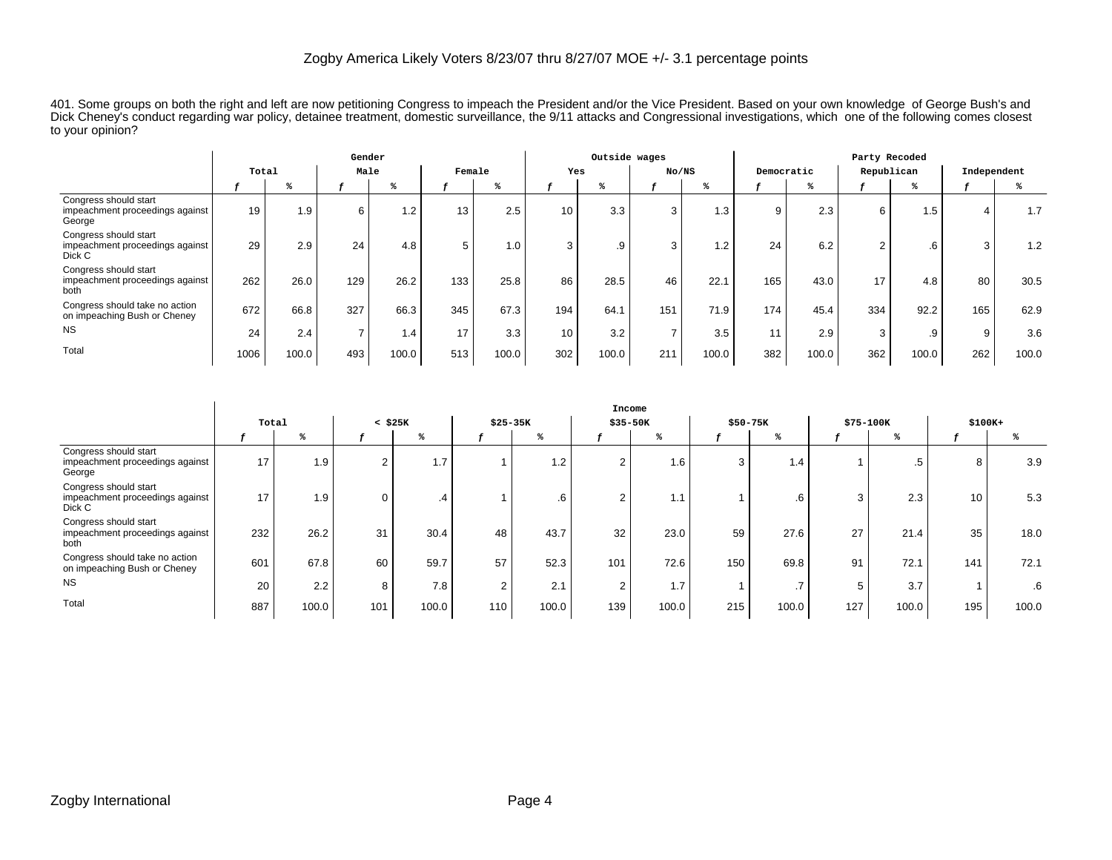|                                                                    |       |       | Gender |       |        |       |                 | Outside wages |               |       |     |            | Party Recoded |       |             |       |
|--------------------------------------------------------------------|-------|-------|--------|-------|--------|-------|-----------------|---------------|---------------|-------|-----|------------|---------------|-------|-------------|-------|
|                                                                    | Total |       | Male   |       | Female |       |                 | Yes           | No/NS         |       |     | Democratic | Republican    |       | Independent |       |
|                                                                    |       |       |        |       |        |       |                 |               |               |       |     |            |               |       |             |       |
| Congress should start<br>impeachment proceedings against<br>George | 19    | 1.9   | 6      | 1.2   | 13     | 2.5   | 10 <sup>1</sup> | 3.3           | 3             | 1.3   | 9   | 2.3        | 6             | 1.5   | 4           | 1.7   |
| Congress should start<br>impeachment proceedings against<br>Dick C | 29    | 2.9   | 24     | 4.8   | 5      | 1.0   |                 | .9            | 3             | 1.2   | 24  | 6.2        | $\sim$<br>z   | .6    | 3           | 1.2   |
| Congress should start<br>impeachment proceedings against<br>both   | 262   | 26.0  | 129    | 26.2  | 133    | 25.8  | 86              | 28.5          | 46            | 22.1  | 165 | 43.0       | 17            | 4.8   | 80          | 30.5  |
| Congress should take no action<br>on impeaching Bush or Cheney     | 672   | 66.8  | 327    | 66.3  | 345    | 67.3  | 194             | 64.1          | 151           | 71.9  | 174 | 45.4       | 334           | 92.2  | 165         | 62.9  |
| <b>NS</b>                                                          | 24    | 2.4   |        | 1.4   | 17     | 3.3   | 10              | 3.2           | $\rightarrow$ | 3.5   | 11  | 2.9        | 3             | .9    | 9           | 3.6   |
| Total                                                              | 1006  | 100.0 | 493    | 100.0 | 513    | 100.0 | 302             | 100.0         | 211           | 100.0 | 382 | 100.0      | 362           | 100.0 | 262         | 100.0 |

401. Some groups on both the right and left are now petitioning Congress to impeach the President and/or the Vice President. Based on your own knowledge of George Bush's and Dick Cheney's conduct regarding war policy, detainee treatment, domestic surveillance, the 9/11 attacks and Congressional investigations, which one of the following comes closest to your opinion?

|                                                                    |       |       |                |       |                |           |                | Income |          |       |           |       |          |       |
|--------------------------------------------------------------------|-------|-------|----------------|-------|----------------|-----------|----------------|--------|----------|-------|-----------|-------|----------|-------|
|                                                                    | Total |       | $<$ \$25 $K$   |       |                | $$25-35K$ | \$35-50K       |        | \$50-75K |       | \$75-100K |       | $$100K+$ |       |
|                                                                    |       |       |                |       |                |           |                |        |          |       |           |       |          |       |
| Congress should start<br>impeachment proceedings against<br>George | 17    | 1.9   | $\overline{2}$ | 1.7   |                | 1.2       | $\overline{2}$ | 1.6    |          | 1.4   |           | .5    | 8        | 3.9   |
| Congress should start<br>impeachment proceedings against<br>Dick C | 17    | 1.9   | 0              | .4    |                | .6        | 2              | 1.1    |          | .6    | 3         | 2.3   | 10       | 5.3   |
| Congress should start<br>impeachment proceedings against<br>both   | 232   | 26.2  | 31             | 30.4  | 48             | 43.7      | 32             | 23.0   | 59       | 27.6  | 27        | 21.4  | 35       | 18.0  |
| Congress should take no action<br>on impeaching Bush or Cheney     | 601   | 67.8  | 60             | 59.7  | 57             | 52.3      | 101            | 72.6   | 150      | 69.8  | 91        | 72.1  | 141      | 72.1  |
| <b>NS</b>                                                          | 20    | 2.2   | 8              | 7.8   | $\overline{2}$ | 2.1       | $\overline{2}$ | 1.7    |          | . .   |           | 3.7   |          | .6    |
| Total                                                              | 887   | 100.0 | 101            | 100.0 | 110            | 100.0     | 139            | 100.0  | 215      | 100.0 | 127       | 100.0 | 195      | 100.0 |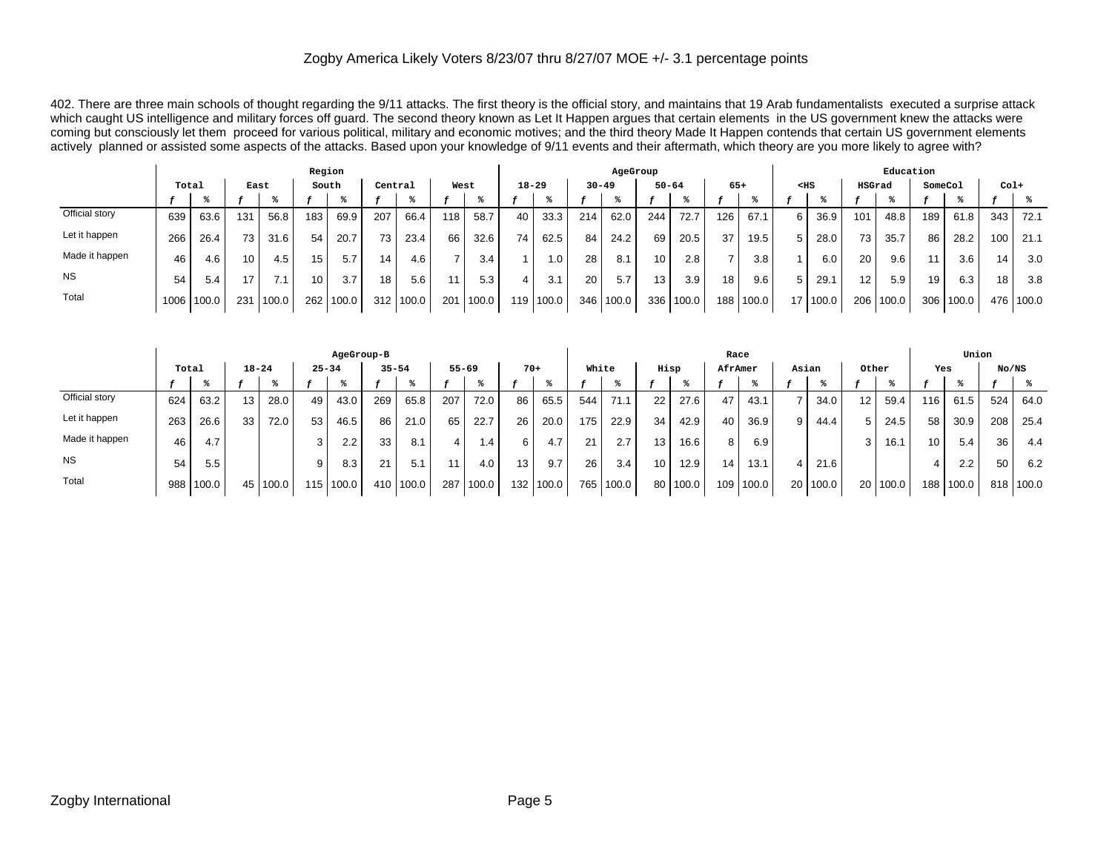402. There are three main schools of thought regarding the 9/11 attacks. The first theory is the official story, and maintains that 19 Arab fundamentalists executed a surprise attack which caught US intelligence and military forces off guard. The second theory known as Let It Happen argues that certain elements in the US government knew the attacks were coming but consciously let them proceed for various political, military and economic motives; and the third theory Made It Happen contends that certain US government elements actively planned or assisted some aspects of the attacks. Based upon your knowledge of 9/11 events and their aftermath, which theory are you more likely to agree with?

|                |       |       |     |       | Region          |       |         |             |      |       |           |       |           | AgeGroup |     |           |       |             |        |       |                 | Education |         |       |        |       |
|----------------|-------|-------|-----|-------|-----------------|-------|---------|-------------|------|-------|-----------|-------|-----------|----------|-----|-----------|-------|-------------|--------|-------|-----------------|-----------|---------|-------|--------|-------|
|                | Total |       |     | East  | South           |       | Central |             | West |       | $18 - 29$ |       | $30 - 49$ |          |     | $50 - 64$ | $65+$ |             | $<$ HS |       | HSGrad          |           | SomeCol |       | $Col+$ |       |
|                |       |       |     |       |                 |       |         |             |      |       |           |       |           |          |     |           |       |             |        |       |                 |           |         |       |        |       |
| Official story | 639   | 63.6  | 131 | 56.8  | 183             | 69.9  | 207     | 66.4        | 118  | 58.7  | 40        | 33.3  | 214       | 62.0     | 244 | 72.7      | 126   | 67.1        | 6 I    | 36.9  | 101             | 48.8      | 189     | 61.8  | 343    | 72.1  |
| Let it happen  | 266   | 26.4  | 73  | 31.6  | 54              | 20.7  | 73      | 23.4        | 66   | 32.6  | 74        | 62.5  | 84        | 24.2     | 69  | 20.5      | 37    | 19.5        |        | 28.0  | 73 <sub>1</sub> | 35.7      | 86      | 28.2  | 100    | 21.1  |
| Made it happen | 46    | 4.6   | 10  | 4.5   | 15              | 5.7   | 14      | 4.6         |      | 3.4   |           | 1.0   | 28        | 8.1      | 10  | 2.8       |       | 3.8         |        | 6.0   | 20 <sub>1</sub> | 9.6       | 11      | 3.6   | 14     | 3.0   |
| <b>NS</b>      | 54    | 5.4   | 17  |       | 10 <sub>1</sub> | 3.7   | 18      | 5.6         | 11   | 5.3   | 4         | 3.1   | 20        | 5.7      | 13  | 3.9       | 18    | 9.6         |        | 29.1  | 12 <sub>1</sub> | 5.9       | 19      | 6.3   | 18     | 3.8   |
| Total          | 1006  | 100.0 | 231 | 100.0 | 262             | 100.0 |         | 312   100.0 | 201  | 100.0 | 119 l     | 100.0 | 346       | 100.0    | 336 | 100.0     |       | 188   100.0 | 17     | 100.0 | 206             | 100.0     | 306     | 100.0 | 476    | 100.0 |

|                |       |       |           |       |           | AgeGroup-B       |           |             |           |       |                  |       |       |       |                 |       | Race            |           |                 |       |                 |            |                  | Union |       |           |
|----------------|-------|-------|-----------|-------|-----------|------------------|-----------|-------------|-----------|-------|------------------|-------|-------|-------|-----------------|-------|-----------------|-----------|-----------------|-------|-----------------|------------|------------------|-------|-------|-----------|
|                | Total |       | $18 - 24$ |       | $25 - 34$ |                  | $35 - 54$ |             | $55 - 69$ |       | $70+$            |       | White |       |                 | Hisp  | AfrAmer         |           | Asian           |       | Other           |            | Yes              |       | No/NS |           |
|                |       |       |           |       |           |                  |           |             |           |       |                  |       |       |       |                 |       |                 |           |                 |       |                 |            |                  |       |       |           |
| Official story | 624   | 63.2  | 13        | 28.0  | 49        | 43.0             | 269       | 65.8        | 207       | 72.0  | 86               | 65.5  | 544   | 71.7  | 22              | 27.6  | 47              | 43.1      |                 | 34.0  | 12 <sub>1</sub> | 59.4       | 116              | 61.5  | 524   | 64.0      |
| Let it happen  | 263   | 26.6  | 33        | 72.0  | 53        | 46.5             | 86        | 21.0        | 65        | 22.7  | 26 <sub>1</sub>  | 20.0  | 175   | 22.9  | 34              | 42.9  | 40              | 36.9      | 9 I             | 44.4  |                 | 24.5       | 58               | 30.9  | 208   | 25.4      |
| Made it happen | 46    | 4.7   |           |       |           | $2.2\phantom{0}$ | 33        | 8.1         |           | ، ۱   | 6.               | 4.7   | 21    | 2.7   | 13              | 16.6  | 8               | 6.9       |                 |       |                 | 16.7       | 10               | 5.4   | 36    | 4.4       |
| <b>NS</b>      | 54    | 5.5   |           |       |           | 8.3              | 21        | 5.1         |           | 4.0   | 13               | 9.7   | 26    | 3.4   | 10 <sup>°</sup> | 12.9  | 14 <sub>1</sub> | 13.1      |                 | 21.6  |                 |            | 4                | 2.2   | 50    | 6.2       |
| Total          | 988   | 100.0 | 45        | 100.0 | 115       | 100.0            |           | 410   100.0 | 287       | 100.0 | 132 <sub>1</sub> | 100.0 | 765   | 100.0 | 80              | 100.0 |                 | 109 100.0 | 20 <sub>1</sub> | 100.0 |                 | 20   100.0 | 188 <sub>1</sub> | 100.0 |       | 818 100.0 |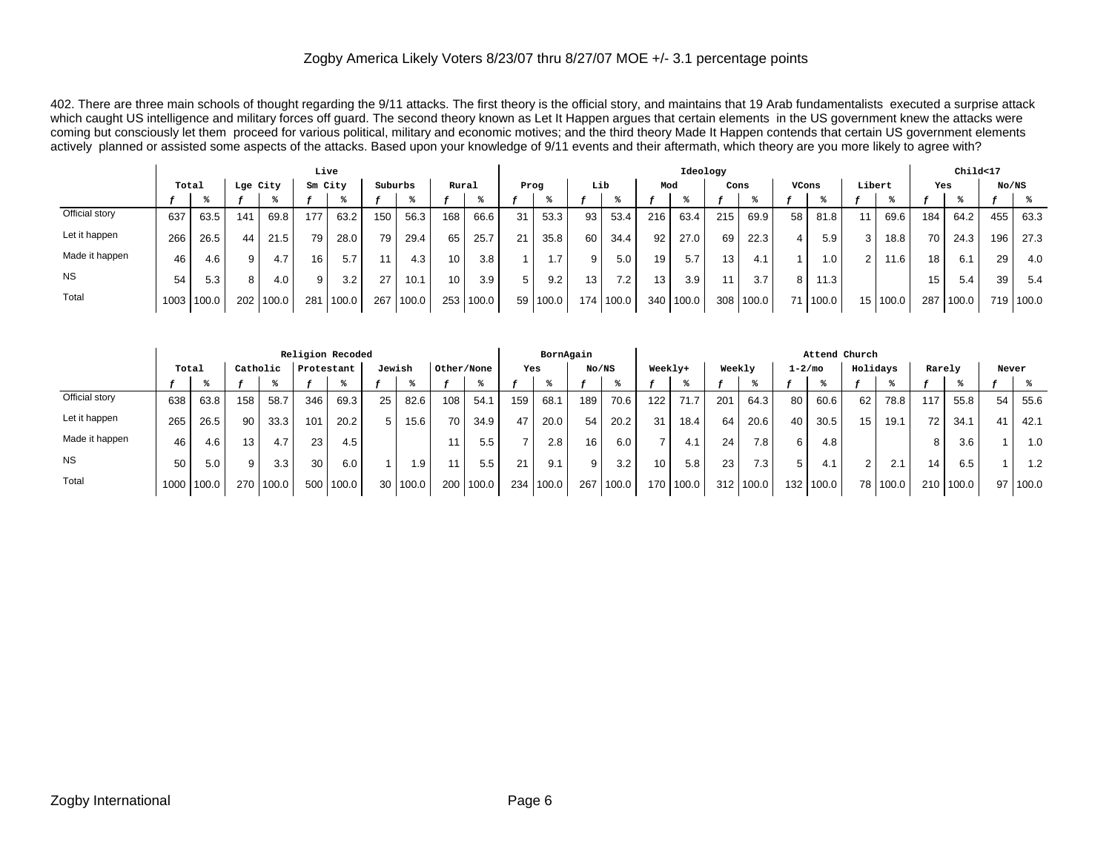402. There are three main schools of thought regarding the 9/11 attacks. The first theory is the official story, and maintains that 19 Arab fundamentalists executed a surprise attack which caught US intelligence and military forces off guard. The second theory known as Let It Happen argues that certain elements in the US government knew the attacks were coming but consciously let them proceed for various political, military and economic motives; and the third theory Made It Happen contends that certain US government elements actively planned or assisted some aspects of the attacks. Based upon your knowledge of 9/11 events and their aftermath, which theory are you more likely to agree with?

|                |       |       |     |          | Live            |       |         |       |                 |       |                 |       |       |       |     | Ideology |                 |           |       |                  |        |            |                 | Child<17 |       |           |
|----------------|-------|-------|-----|----------|-----------------|-------|---------|-------|-----------------|-------|-----------------|-------|-------|-------|-----|----------|-----------------|-----------|-------|------------------|--------|------------|-----------------|----------|-------|-----------|
|                | Total |       |     | Lge City | Sm City         |       | Suburbs |       | Rural           |       | Prog            |       |       | Lib   | Mod |          | Cons            |           | VCons |                  | Libert |            | Yes             |          | No/NS |           |
|                |       |       |     |          |                 |       |         |       |                 |       |                 |       |       |       |     |          |                 |           |       |                  |        |            |                 |          |       |           |
| Official story | 637   | 63.5  | 141 | 69.8     | 177             | 63.2  | 150     | 56.3  | 168             | 66.6  | 31              | 53.3  | 93    | 53.4  | 216 | 63.4     | 215             | 69.9      | 58    | 81.8             |        | 69.6       | 184             | 64.2     | 455   | 63.3      |
| Let it happen  | 266   | 26.5  | 44  | 21.5     | 79              | 28.0  | 79      | 29.4  | 65              | 25.7  | 21              | 35.8  | 60    | 34.4  | 92  | 27.0     | 69              | 22.3      |       | 5.9              |        | 18.8       | 70 <sub>1</sub> | 24.3     | 196   | 27.3      |
| Made it happen | 46    | 4.6   |     | 4.7      | 16 <sub>1</sub> | 5.7   |         | 4.3   | 10 <sub>1</sub> | 3.8   |                 | 1.7   | 9     | 5.0   | 19  | 5.7      | 13 <sub>1</sub> | 4.1       |       | $\overline{0}$ . |        | 11.6       | 18              | 6.1      | 29    | 4.0       |
| <b>NS</b>      | 54    | 5.3   | 81  | 4.0      | 9               | 3.2   | 27      | 10.1  | 10              | 3.9   | 5               | 9.2   | 13    | 7.2   | 13  | 3.9      |                 | 3.7       | 8     | 11.3             |        |            | 15 <sub>1</sub> | 5.4      | 39    | -5.4      |
| Total          | 1003  | 100.0 | 202 | 100.0    | 281             | 100.0 | 267     | 100.0 | 253             | 100.0 | 59 <sub>1</sub> | 100.0 | 174 l | 100.0 | 340 | 100.0    |                 | 308 100.0 |       | 1100.0           |        | 15   100.0 | 287             | 100.0    |       | 719 100.0 |

|                |        |       |     |          |            | Religion Recoded |        |       |            |       |     | BornAgain |       |       |         |       |                 |                  |             | Attend Church |          |          |        |           |       |       |
|----------------|--------|-------|-----|----------|------------|------------------|--------|-------|------------|-------|-----|-----------|-------|-------|---------|-------|-----------------|------------------|-------------|---------------|----------|----------|--------|-----------|-------|-------|
|                | Total  |       |     | Catholic | Protestant |                  | Jewish |       | Other/None |       | Yes |           | No/NS |       | Weekly+ |       | Weekly          |                  | $1 - 2/m$ o |               | Holidays |          | Rarely |           | Never |       |
|                |        |       |     |          |            |                  |        |       |            |       |     |           |       |       |         |       |                 |                  |             |               |          |          |        |           |       |       |
| Official story | 638    | 63.8  | 158 | 58.7     | 346        | 69.3             | 25     | 82.6  | 108        | 54.1  | 159 | 68.1      | 189   | 70.6  | 122     | 71.7  | 201             | 64.3             | 80          | 60.6          | 62       | 78.8     | 117    | 55.8      | 54    | 55.6  |
| Let it happen  | 265    | 26.5  | 90  | 33.3     | 101        | 20.2             | 5.     | 15.6  | 70         | 34.9  | 47  | 20.0      | 54    | 20.2  | 31      | 18.4  | 64              | 20.6             |             | 30.5          | 15       | 19.1     | 72     | 34.1      | 41    | 42.1  |
| Made it happen | 46     | 4.6   | 13  | 4.7      | 23         | 4.5              |        |       |            | 5.5   |     | 2.8       | 16    | 6.0   |         | 4.1   | 24 <sub>1</sub> | 7.8              | 6           | 4.8           |          |          | 8      | 3.6       |       | 1.0   |
| <b>NS</b>      | 50     | 5.0   | 9   | 3.3      | 30         | 6.0              |        | l.9   |            | 5.5   | 21  | 9.1       | 9     | 3.2   | 10      | 5.8   | 23              | 7.3 <sub>1</sub> | 5.          | 4.1           | 2        | 2.1      | 14.    | 6.5       |       | 1.2   |
| Total          | 1000 l | 100.0 | 270 | 100.0    | 500        | 100.0            | 30     | 100.0 | 200        | 100.0 | 234 | 100.0     | 267   | 100.0 | 170     | 100.0 | 312             | 100.0            | 132.        | 100.0         |          | 78 100.0 |        | 210 100.0 | 97 I  | 100.0 |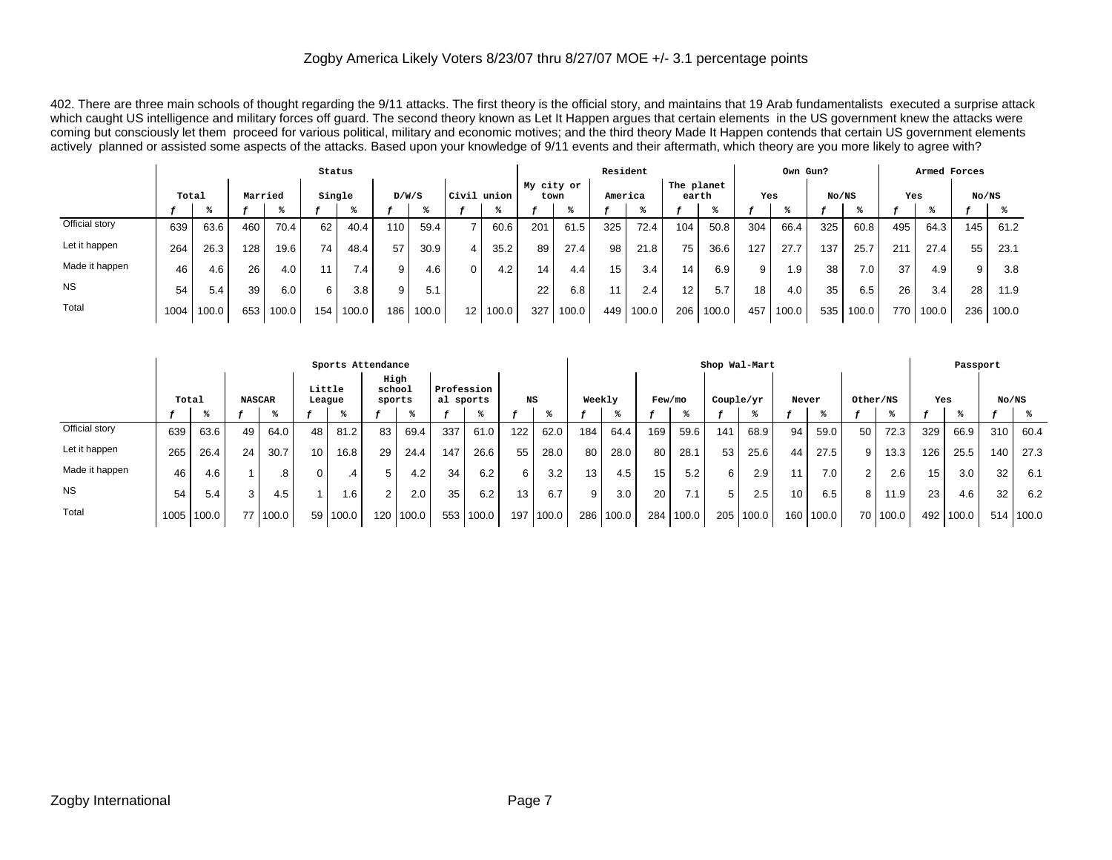402. There are three main schools of thought regarding the 9/11 attacks. The first theory is the official story, and maintains that 19 Arab fundamentalists executed a surprise attack which caught US intelligence and military forces off guard. The second theory known as Let It Happen argues that certain elements in the US government knew the attacks were coming but consciously let them proceed for various political, military and economic motives; and the third theory Made It Happen contends that certain US government elements actively planned or assisted some aspects of the attacks. Based upon your knowledge of 9/11 events and their aftermath, which theory are you more likely to agree with?

|                |       |       |         |       | Status          |       |       |       |                 |       |            |       | Resident |       |                     |       |     | Own Gun? |       |       |     | Armed Forces |       |       |
|----------------|-------|-------|---------|-------|-----------------|-------|-------|-------|-----------------|-------|------------|-------|----------|-------|---------------------|-------|-----|----------|-------|-------|-----|--------------|-------|-------|
|                | Total |       | Married |       | Single          |       | D/W/S |       | Civil union     |       | My city or | town  | America  |       | The planet<br>earth |       | Yes |          | No/NS |       | Yes |              | No/NS |       |
|                |       |       |         |       |                 |       |       |       |                 |       |            |       |          |       |                     |       |     |          |       |       |     |              |       |       |
| Official story | 639   | 63.6  | 460     | 70.4  | 62              | 40.4  | 110   | 59.4  |                 | 60.6  | 201        | 61.5  | 325      | 72.4  | 104                 | 50.8  | 304 | 66.4     | 325   | 60.8  | 495 | 64.3         | 145   | 61.2  |
| Let it happen  | 264   | 26.3  | 128     | 19.6  | 74 <sub>1</sub> | 48.4  | 57    | 30.9  | 4               | 35.2  | 89         | 27.4  | 98       | 21.8  | 75                  | 36.6  | 127 | 27.7     | 137   | 25.7  | 211 | 27.4         | 55    | 23.1  |
| Made it happen | 46    | 4.6   | 26      | 4.0   |                 | 7.4   | 9     | 4.6   | 0               | 4.2   | 14.        | 4.4   | 15       | 3.4   | 14                  | 6.9   | 9   | . 9      | 38    | 7.0   | 37  | 4.9          | 9     | 3.8   |
| <b>NS</b>      | 54    | 5.4   | 39      | 6.0   | 6               | 3.8   | 9     | 5.1   |                 |       | 22         | 6.8   | 11       | 2.4   | $12 \overline{ }$   | 5.7   | 18  | 4.0      | 35    | 6.5   | 26  | 3.4          | 28    | 11.9  |
| Total          | 1004  | 100.0 | 653     | 100.0 | 154             | 100.0 | 186   | 100.0 | 12 <sub>1</sub> | 100.0 | 327        | 100.0 | 449      | 100.0 | 206                 | 100.0 | 457 | 100.0    | 535   | 100.0 | 770 | 100.0        | 236   | 100.0 |

|                |       |       |    |               |                  | Sports Attendance |                  |       |                         |       |     |       |        |       |        |       |     | Shop Wal-Mart |     |       |                |          |       | Passport |     |           |
|----------------|-------|-------|----|---------------|------------------|-------------------|------------------|-------|-------------------------|-------|-----|-------|--------|-------|--------|-------|-----|---------------|-----|-------|----------------|----------|-------|----------|-----|-----------|
|                | Total |       |    | <b>NASCAR</b> | Little<br>League |                   | school<br>sports | High  | Profession<br>al sports |       | NS  |       | Weekly |       | Few/mo |       |     | Couple/yr     |     | Never | Other/NS       |          | Yes   |          |     | No/NS     |
|                |       |       |    |               |                  |                   |                  |       |                         |       |     |       |        |       |        |       |     |               |     |       |                |          |       |          |     |           |
| Official story | 639   | 63.6  | 49 | 64.0          | 48               | 81.2              | 83               | 69.4  | 337                     | 61.0  | 122 | 62.0  | 184    | 64.4  | 169    | 59.6  | 141 | 68.9          | 94  | 59.0  | 50             | 72.3     | 329   | 66.9     | 310 | 60.4      |
| Let it happen  | 265   | 26.4  | 24 | 30.7          | 10               | 16.8              | 29               | 24.4  | 147                     | 26.6  | 55  | 28.0  | 80     | 28.0  | 80     | 28.1  | 53  | 25.6          | 44  | 27.5  | 9 I            | 13.3     | 126   | 25.5     | 140 | 27.3      |
| Made it happen | 46    | 4.6   |    | 8.            | 0                | .4                | h.               | 4.2   | 34                      | 6.2   | 6   | 3.2   | 13     | 4.5   | 15     | 5.2   | 6 I | 2.9           | 11  | 7.0   | 2 <sub>1</sub> | 2.6      | 15    | 3.0      | 32  | 6.1       |
| <b>NS</b>      | 54    | 5.4   | 3  | 4.5           |                  | .6                |                  | 2.0   | 35                      | 6.2   | 13  | 6.7   | 9      | 3.0   | 20     |       | 5 I | 2.5           | 10  | 6.5   | 8 I            | 1.9      | 23    | 4.6      | 32  | 6.2       |
| Total          | 1005  | 100.0 | 77 | 100.0         | 59               | 100.0             | 120              | 100.0 | 553                     | 100.0 | 197 | 100.0 | 286    | 100.0 | 284    | 100.0 | 205 | 100.0         | 160 | 100.0 |                | 70 100.0 | 492 l | 100.0    |     | 514 100.0 |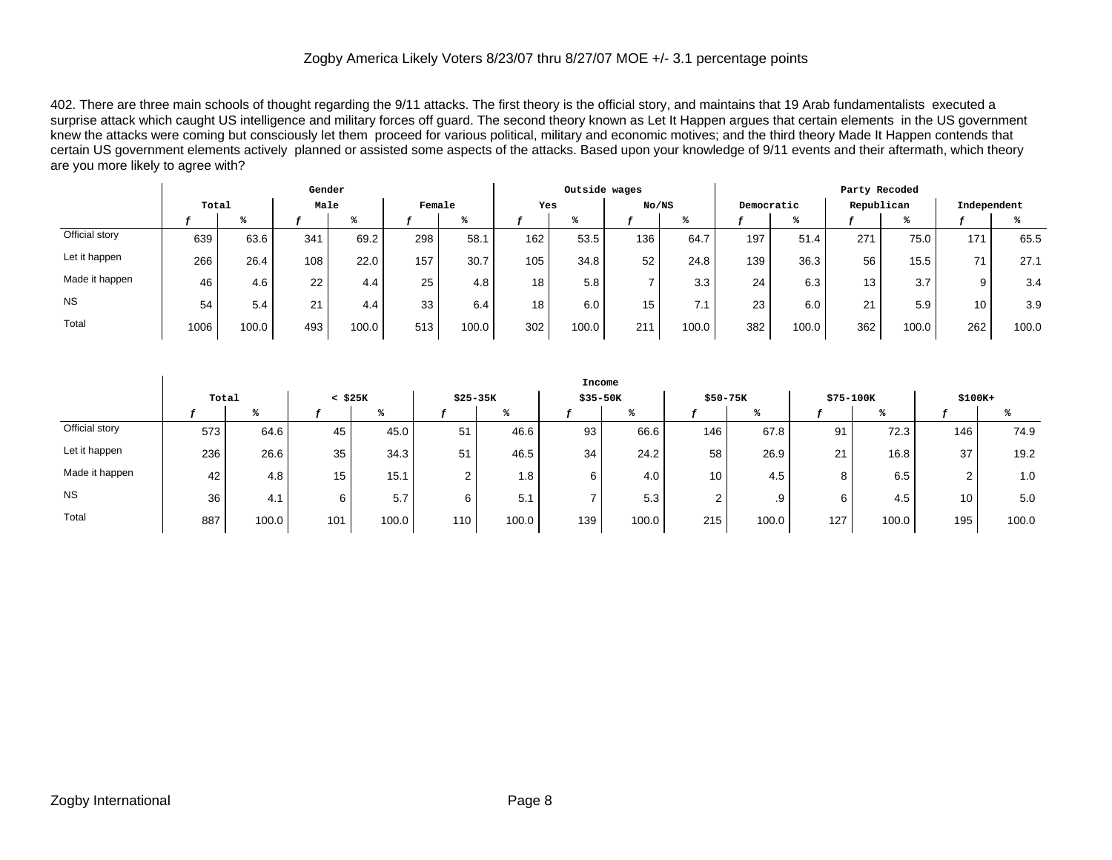402. There are three main schools of thought regarding the 9/11 attacks. The first theory is the official story, and maintains that 19 Arab fundamentalists executed a surprise attack which caught US intelligence and military forces off guard. The second theory known as Let It Happen argues that certain elements in the US government knew the attacks were coming but consciously let them proceed for various political, military and economic motives; and the third theory Made It Happen contends that certain US government elements actively planned or assisted some aspects of the attacks. Based upon your knowledge of 9/11 events and their aftermath, which theory are you more likely to agree with?

|                |       |       | Gender        |       |        |                    |     | Outside wages |       |       |            |       | Party Recoded |       |                 |       |
|----------------|-------|-------|---------------|-------|--------|--------------------|-----|---------------|-------|-------|------------|-------|---------------|-------|-----------------|-------|
|                | Total |       | Male          |       | Female |                    | Yes |               | No/NS |       | Democratic |       | Republican    |       | Independent     |       |
|                |       |       |               |       |        |                    |     |               |       |       |            |       |               |       |                 |       |
| Official story | 639   | 63.6  | 341           | 69.2  | 298    | 58.1               | 162 | 53.5          | 136   | 64.7  | 197        | 51.4  | 271           | 75.0  | 171             | 65.5  |
| Let it happen  | 266   | 26.4  | 108           | 22.0  | 157    | 30.7               | 105 | 34.8          | 52    | 24.8  | 139        | 36.3  | 56            | 15.5  | 71              | 27.1  |
| Made it happen | 46    | 4.6   | 22            | 4.4   | 25     | 4.8                | 18  | 5.8           |       | 3.3   | 24         | 6.3   | 13            | 3.7   | 9               | 3.4   |
| <b>NS</b>      | 54    | 5.4   | $\Omega$<br>∠ | 4.4   | 33     | 6.4                | 18  | 6.0           | 15    | 7.1   | 23         | 6.0   | 21            | 5.9   | 10 <sub>1</sub> | 3.9   |
| Total          | 1006  | 100.0 | 493           | 100.0 | 513    | 100.0 <sub>1</sub> | 302 | 100.0         | 211   | 100.0 | 382        | 100.0 | 362           | 100.0 | 262             | 100.0 |

|                |       |       |              |                   |        |           | Income      |       |         |           |                |       |                 |       |
|----------------|-------|-------|--------------|-------------------|--------|-----------|-------------|-------|---------|-----------|----------------|-------|-----------------|-------|
|                | Total |       | $<$ \$25 $K$ |                   |        | $$25-35K$ | $$35 - 50K$ |       |         | $$50-75K$ | \$75-100K      |       | $$100K+$        |       |
|                |       |       |              |                   |        |           |             |       |         |           |                |       |                 |       |
| Official story | 573   | 64.6  | 45           | 45.0              | 51     | 46.6      | 93          | 66.6  | $146$ . | 67.8      | 91             | 72.3  | 146             | 74.9  |
| Let it happen  | 236   | 26.6  | 35           | 34.3              | 51     | 46.5      | 34          | 24.2  | 58      | 26.9      | $\Omega$<br>∠∣ | 16.8  | 37              | 19.2  |
| Made it happen | 42    | 4.8   | 15           | 15.1 <sub>1</sub> | $\sim$ | 1.8       | 6           | 4.0   | 10      | 4.5       | 8              | 6.5   | $\overline{2}$  | 1.0   |
| <b>NS</b>      | 36    | 4.1   | 6            | 5.7               | 6      | 5.1       |             | 5.3   |         | .9        | 6              | 4.5   | 10 <sub>1</sub> | 5.0   |
| Total          | 887   | 100.0 | 101          | 100.0             | 110    | 100.0     | 139         | 100.0 | 215     | 100.0     | 127            | 100.0 | 195             | 100.0 |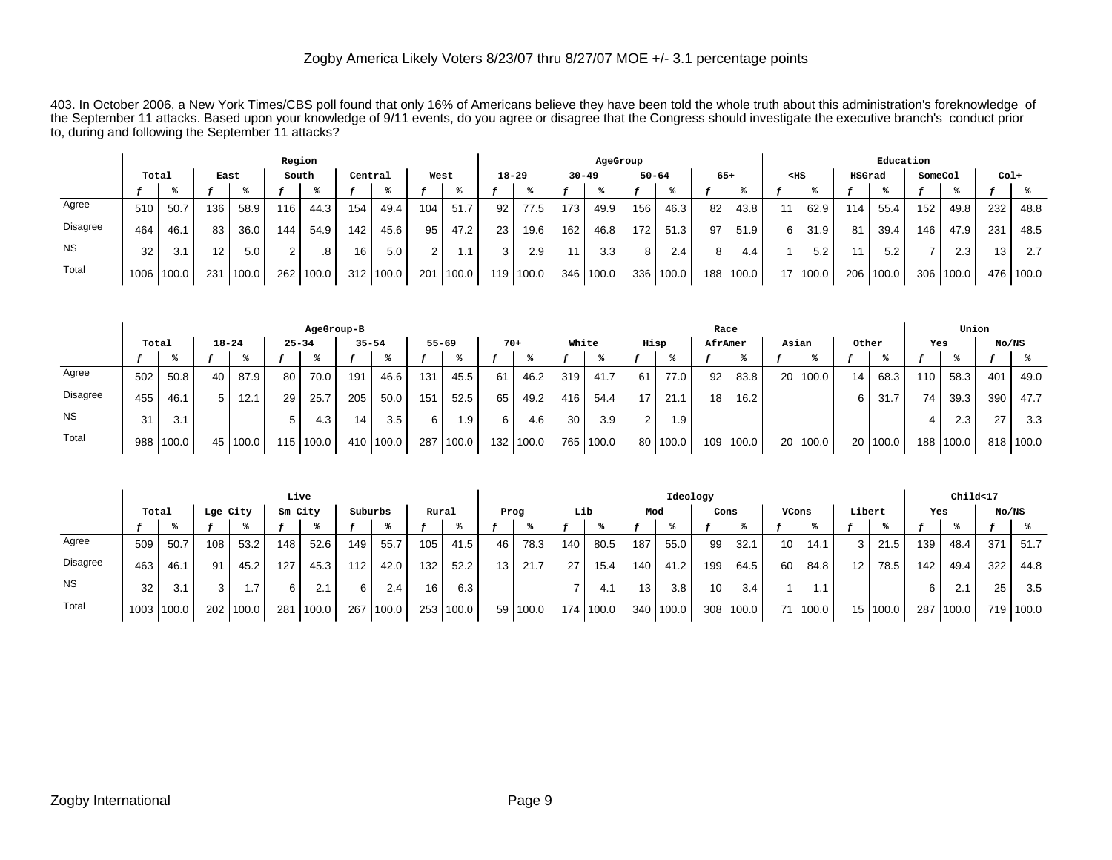403. In October 2006, a New York Times/CBS poll found that only 16% of Americans believe they have been told the whole truth about this administration's foreknowledge of the September 11 attacks. Based upon your knowledge of 9/11 events, do you agree or disagree that the Congress should investigate the executive branch's conduct prior to, during and following the September 11 attacks?

|                 |       |       |                 |        |     | Region |         |           |        |           |           |           |     | AgeGroup  |     |           |                 |       |                 |       |        | Education |         |       |                 |       |
|-----------------|-------|-------|-----------------|--------|-----|--------|---------|-----------|--------|-----------|-----------|-----------|-----|-----------|-----|-----------|-----------------|-------|-----------------|-------|--------|-----------|---------|-------|-----------------|-------|
|                 | Total |       | East            |        |     | South  | Central |           | West   |           | $18 - 29$ |           |     | $30 - 49$ |     | $50 - 64$ | $65+$           |       | $<$ HS          |       | HSGrad |           | SomeCol |       | $Col+$          |       |
|                 |       |       |                 |        |     |        |         |           |        |           |           |           |     |           |     |           |                 |       |                 |       |        |           |         |       |                 |       |
| Agree           | 510   | 50.7  | 136             | 58.9   | 116 | 44.3   | 154     | 49.4      | 104    | 51.7      | 92        | 77.5      | 173 | 49.9      | 156 | 46.3      | 82 <sub>1</sub> | 43.8  | 11              | 62.9  | 114    | 55.4      | 152     | 49.8  | 232             | 48.8  |
| <b>Disagree</b> | 464   | 46.1  | 83              | 36.0   | 144 | 54.9   | 142     | 45.6      | 95     | 47.2      | 23        | 19.6      | 162 | 46.8      | 172 | 51.3      | 97              | 51.9  | 6               | 31.9  | 81     | 39.4      | 146     | 47.9  | 231             | 48.5  |
| <b>NS</b>       | 32    | 3.1   | 12 <sup>2</sup> | 5.0    | 2 I | .8     | 16      | 5.0       | $\sim$ | $\cdot$ 1 | ີ         | 2.9       | 44. | 3.3       |     | 2.4       |                 | 4.4   |                 | 5.2   |        | 5.2       |         | 2.3   | 13 <sub>1</sub> | 2.7   |
| Total           | 1006  | 100.0 | 231             | 1100.0 | 262 | 100.0  |         | 312 100.0 | 201    | 100.0     |           | 119 100.0 | 346 | '100.0    | 336 | 100.0     | 188.            | 100.0 | 17 <sub>1</sub> | 100.0 |        | 206 100.0 | 306     | 100.0 | 476 l           | 100.0 |

|                 |       |           |           |            |           | AgeGroup-B |                  |         |           |       |                  |       |       |           |    |        | Race             |       |       |            |       |            |     | Union     |       |           |
|-----------------|-------|-----------|-----------|------------|-----------|------------|------------------|---------|-----------|-------|------------------|-------|-------|-----------|----|--------|------------------|-------|-------|------------|-------|------------|-----|-----------|-------|-----------|
|                 | Total |           | $18 - 24$ |            | $25 - 34$ |            | $35 - 54$        |         | $55 - 69$ |       | $70+$            |       | White |           |    | Hisp   | AfrAmer          |       | Asian |            | Other |            | Yes |           | No/NS |           |
|                 |       |           |           |            |           |            |                  |         |           |       |                  |       |       |           |    |        |                  |       |       |            |       |            |     |           |       |           |
| Agree           | 502   | 50.8      | 40        | 87.9       | 80        | 70.0       | 191              | 46.6    | 131       | 45.5  | 61               | 46.2  | 319   | 41.7      | 61 | 77.0   | 92               | 83.8  |       | 20 100.0   | 14    | 68.3       | 110 | 58.3      | 401   | 49.0      |
| <b>Disagree</b> | 455   | 46.1      | 5.        | 12.1       | 29        | 25.7       | 205              | 50.0    | 151       | 52.5  | 65               | 49.2  | 416   | 54.4      | 17 | 21.1   | 18.              | 16.2  |       |            |       | -31<br>۱.7 |     | 39.3      | 390   | 47.7      |
| <b>NS</b>       | 31    | 3.1       |           |            | b         | 4.3        | 14               | 3.5     | 6         | . . 9 | 6 I              | 4.6   | 30    | 3.9       | ົ  | l.9    |                  |       |       |            |       |            |     | 2.3       | 27    | 3.3       |
| Total           |       | 988 100.0 |           | 45   100.0 |           | 115 100.0  | 410 <sub>1</sub> | l 100.0 | 287       | 100.0 | 132 <sub>1</sub> | 100.0 |       | 765 100.0 | 80 | 1100.0 | 109 <sup>1</sup> | 100.0 |       | 20   100.0 | 20    | 100.0      |     | 188 100.0 |       | 818 100.0 |

|           |       |       |          |       | Live    |       |         |       |                  |       |      |       |     |       |     | Ideology    |                  |       |                 |            |                 |        |     | Child<17 |       |           |
|-----------|-------|-------|----------|-------|---------|-------|---------|-------|------------------|-------|------|-------|-----|-------|-----|-------------|------------------|-------|-----------------|------------|-----------------|--------|-----|----------|-------|-----------|
|           | Total |       | Lge City |       | Sm City |       | Suburbs |       | Rural            |       | Prog |       | Lib |       | Mod |             | Cons             |       | VCons           |            | Libert          |        | Yes |          | No/NS |           |
|           |       |       |          |       |         |       |         |       |                  |       |      |       |     |       |     |             |                  |       |                 |            |                 |        |     |          |       |           |
| Agree     | 509   | 50.7  | 108      | 53.2  | 148     | 52.6  | 149     | 55.7  | 105              | 41.5  | 46   | 78.3  | 140 | 80.5  | 187 | 55.0        | 99               | 32.1  | 10 <sub>1</sub> | 14.1       | 3               | 21.5   | 139 | 48.4     | 371   | 51.7      |
| Disagree  | 463   | 46.1  | 91       | 45.2  | 127     | 45.3  | 112     | 42.0  | 132              | 52.2  | 13   | 21.7  | 27  | 15.4  | 140 | 41.2        | 199              | 64.5  | 60 l            | 84.8       | 12              | 78.5   | 142 | 49.4     | 322   | 44.8      |
| <b>NS</b> | 32    | 3.1   | 3        | 1.7   |         | 2.1   | 61      | 2.4   | 16               | 6.3   |      |       |     | 4.1   | 13  | 3.8         | 10               | 3.4   |                 |            |                 |        | 6   | 2.1      | 25    | 3.5       |
| Total     | 1003  | 100.0 | 202      | 100.0 | 281     | 100.0 | 267     | 100.0 | 253 <sub>1</sub> | 100.0 | 59   | 100.0 | 174 | 100.0 |     | 340   100.0 | 308 <sup>1</sup> | 100.0 |                 | 71   100.0 | 15 <sup>1</sup> | 1100.0 | 287 | 100.0    |       | 719 100.0 |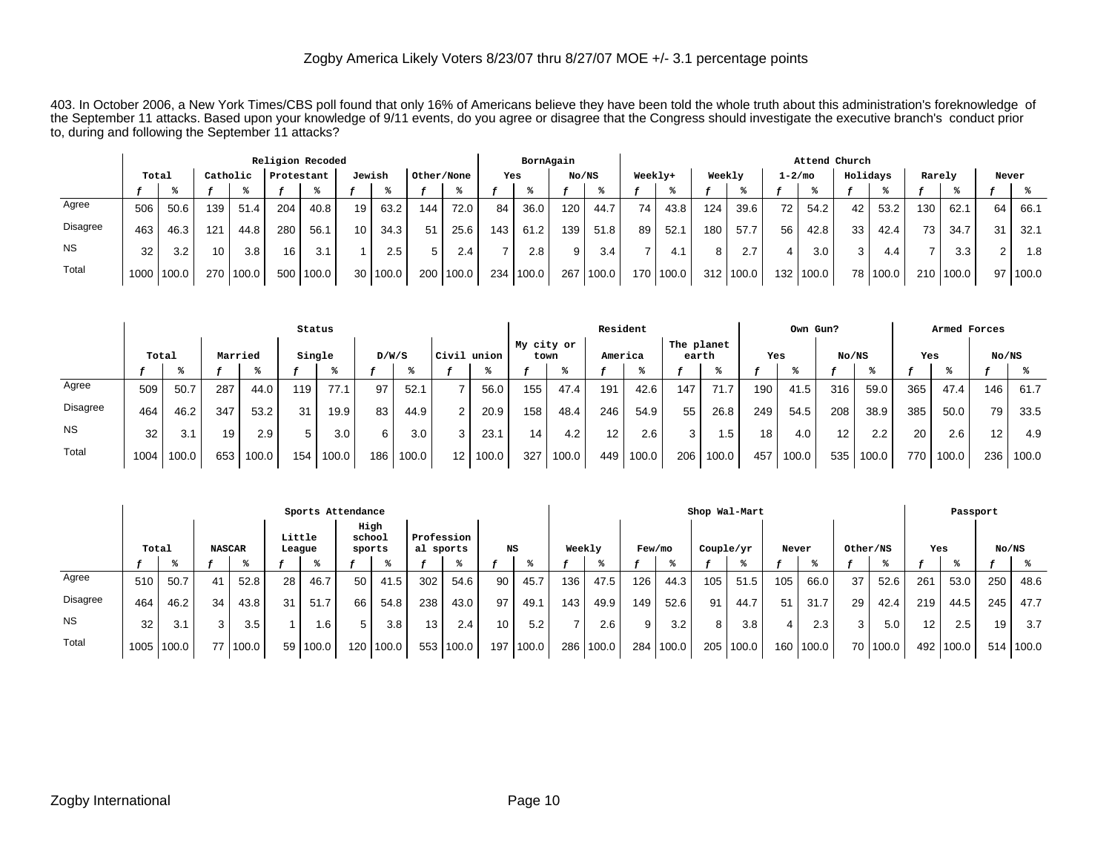403. In October 2006, a New York Times/CBS poll found that only 16% of Americans believe they have been told the whole truth about this administration's foreknowledge of the September 11 attacks. Based upon your knowledge of 9/11 events, do you agree or disagree that the Congress should investigate the executive branch's conduct prior to, during and following the September 11 attacks?

|                 |       |       |          |       |            | Religion Recoded |                 |          |            |                   |     | BornAgain |       |       |    |             |        |        |    |             | Attend Church |        |        |        |       |       |
|-----------------|-------|-------|----------|-------|------------|------------------|-----------------|----------|------------|-------------------|-----|-----------|-------|-------|----|-------------|--------|--------|----|-------------|---------------|--------|--------|--------|-------|-------|
|                 | Total |       | Catholic |       | Protestant |                  | Jewish          |          | Other/None |                   | Yes |           | No/NS |       |    | Weekly+     | Weekly |        |    | $1 - 2/m$ o | Holidays      |        | Rarely |        | Never |       |
|                 |       |       |          |       |            |                  |                 |          |            |                   |     |           |       |       |    |             |        |        |    |             |               |        |        |        |       |       |
| Agree           | 506   | 50.6  | 139      | 51.4  | 204        | 40.8             | 19 <sup>1</sup> | 63.2     | 144        | 72.0              | 84  | 36.0      | 120   | 44.7  | 74 | 43.8        | 124    | 39.6   | 72 | 54.2        | 42            | 53.2   | 130    | 62.7   | 64    | 66.1  |
| <b>Disagree</b> | 463   | 46.3  | 121      | 44.8  | 280        | 56.1             | 10 <sup>1</sup> | 34.3     | 51         | 25.6              | 143 | 61.2      | 139   | 51.8  | 89 | 52.1        | 180    | 57.7   | 56 | 42.8        | 33            | 42.4   | 73     | 34.7   | 31    | 32.1  |
| <b>NS</b>       | 32    | 3.2   | 10       | 3.8   | 16         | 3.1              |                 | 2.5      |            | 2.4               |     | 2.8       | 9     | 3.4   |    |             |        | 2.7    | 4  | 3.0         |               | 4.4    |        | 3.3    | 2     | . 8   |
| Total           | 1000  | 100.0 | 270 l    | 100.0 |            | 500   100.0      |                 | 30 100.0 | 200        | $^{\prime}$ 100.0 | 234 | 100.0     | 267   | 100.0 |    | 170   100.0 | 312    | '100.0 |    | 132 100.0   | 78 I          | '100.0 | 210    | 1100.0 | 97    | 100.0 |

|                 |                  | Status |     |       |        |       |       |       |                   |       |                    |       | Resident        |       |                     |       |                 | Own Gun? |       |       |     | Armed Forces |       |       |
|-----------------|------------------|--------|-----|-------|--------|-------|-------|-------|-------------------|-------|--------------------|-------|-----------------|-------|---------------------|-------|-----------------|----------|-------|-------|-----|--------------|-------|-------|
|                 | Married<br>Total |        |     |       | Single |       | D/W/S |       | Civil             | union | My city or<br>town |       | America         |       | The planet<br>earth |       | Yes             |          | No/NS |       | Yes |              | No/NS |       |
|                 |                  |        |     |       |        |       |       |       |                   |       |                    |       |                 |       |                     |       |                 |          |       |       |     |              |       |       |
| Agree           | 509              | 50.7   | 287 | 44.0  | 119    | 77.1  | 97    | 52.1  |                   | 56.0  | 155                | 47.4  | 19 <sup>1</sup> | 42.6  | 147                 | 71.7  | 190             | 41.5     | 316   | 59.0  | 365 | 47.4         | 146   | 61.7  |
| <b>Disagree</b> | 464              | 46.2   | 347 | 53.2  | 31     | 19.9  | 83    | 44.9  | 2                 | 20.9  | 158                | 48.4  | 246             | 54.9  | 55                  | 26.8  | 249             | 54.5     | 208   | 38.9  | 385 | 50.0         | 79    | 33.5  |
| <b>NS</b>       | 32               | 3.1    | 19  | 2.9   | 5      | 3.0   | 6     | 3.0   | 3                 | 23.1  | 14                 | 4.2   | 12 <sub>1</sub> | 2.6   | 3                   | 1.5   | 18 <sub>1</sub> | 4.0      | 12    | 2.2   | 20  | 2.6          | 12    | 4.9   |
| Total           | 1004             | 100.0  | 653 | 100.0 | 154    | 100.0 | 186   | 100.0 | $12 \overline{ }$ | 100.0 | 327                | 100.0 | 449             | 100.0 | 206                 | 100.0 | 457             | 100.0    | 535   | 100.0 | 770 | 100.0        | 236   | 100.0 |

|           |       |       |               |            |                  | Sports Attendance |                          |             |                         |       |     |       |        |           |        |       |           | Shop Wal-Mart |       |       |                |            |                 | Passport         |       |           |
|-----------|-------|-------|---------------|------------|------------------|-------------------|--------------------------|-------------|-------------------------|-------|-----|-------|--------|-----------|--------|-------|-----------|---------------|-------|-------|----------------|------------|-----------------|------------------|-------|-----------|
|           | Total |       | <b>NASCAR</b> |            | Little<br>League |                   | High<br>school<br>sports |             | Profession<br>al sports |       | NS  |       | Weekly |           | Few/mo |       | Couple/yr |               | Never |       | Other/NS       |            | Yes             |                  | No/NS |           |
|           |       |       |               |            |                  |                   |                          |             |                         |       |     |       |        |           |        |       |           |               |       |       |                |            |                 |                  |       |           |
| Agree     | 510   | 50.7  | 41            | 52.8       | 28               | 46.7              | 50                       | 41.5        | 302                     | 54.6  | 90  | 45.7  | 136    | 47.5      | 126    | 44.3  | 105       | 51.5          | 105   | 66.0  | 37             | 52.6       | 261             | 53.0             | 250   | 48.6      |
| Disagree  | 464   | 46.2  | 34            | 43.8       | 31               | 51.7              | 66                       | 54.8        | 238                     | 43.0  | 97  | 49.1  | 143    | 49.9      | 149    | 52.6  | 91        | 44.7          | 51    | 31.7  | 29             | 42.4       | 219             | 44.5             | 245   | 47.7      |
| <b>NS</b> | 32    | 3.1   | 3             | 3.5        |                  | .6                | 5 <sub>1</sub>           | 3.8         | 13                      | 2.4   | 10  | 5.2   |        | 2.6       | 9      | 3.2   | 8         | 3.8           |       | 2.3   | 3 <sup>1</sup> | 5.0        | 12 <sup>2</sup> | 2.5 <sub>1</sub> | 19    | 3.7       |
| Total     | 1005  | 100.0 |               | 77   100.0 | 59               | 100.0             |                          | 120   100.0 | 553                     | 100.0 | 197 | 100.0 |        | 286 100.0 | 284    | 100.0 | 205       | 100.0         | 160   | 100.0 |                | 70   100.0 | 492             | 100.0            |       | 514 100.0 |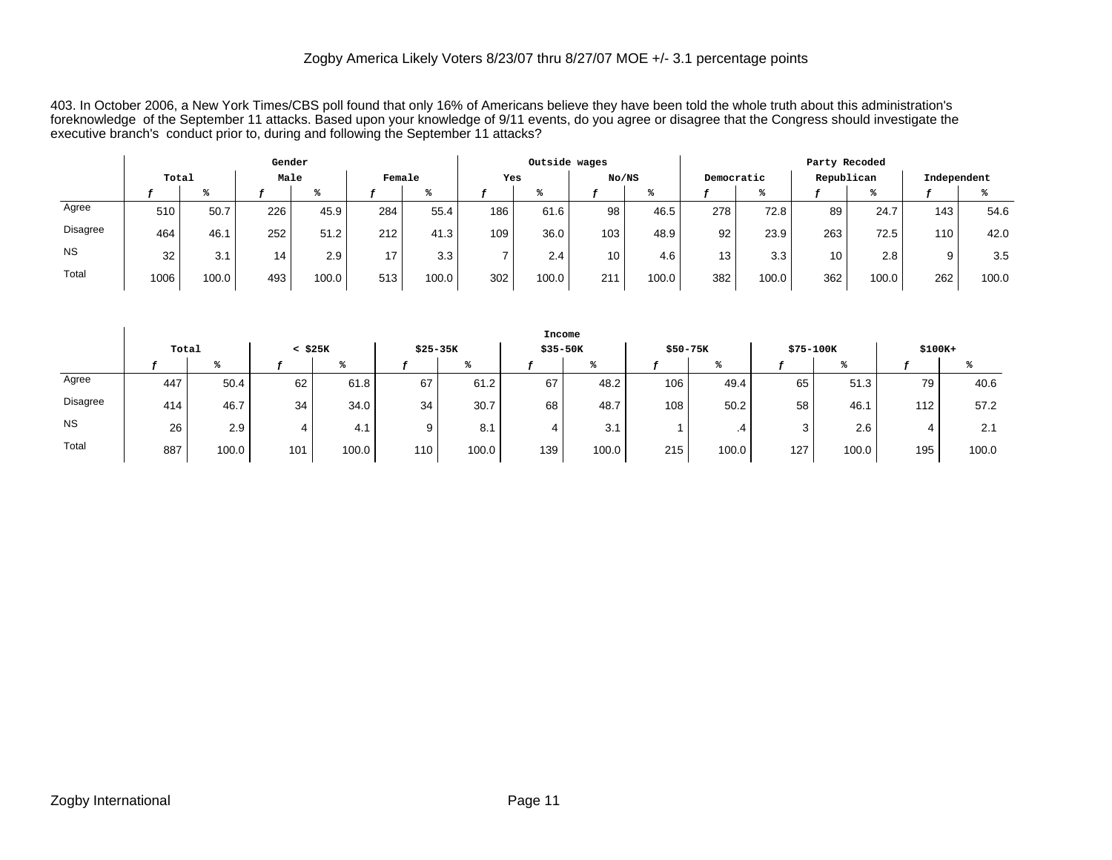403. In October 2006, a New York Times/CBS poll found that only 16% of Americans believe they have been told the whole truth about this administration's foreknowledge of the September 11 attacks. Based upon your knowledge of 9/11 events, do you agree or disagree that the Congress should investigate the executive branch's conduct prior to, during and following the September 11 attacks?

|           |       |       | Gender |       |                 |       |     | Outside wages |       |       |            |       |                 | Party Recoded |             |       |
|-----------|-------|-------|--------|-------|-----------------|-------|-----|---------------|-------|-------|------------|-------|-----------------|---------------|-------------|-------|
|           | Total |       | Male   |       | Female          |       | Yes |               | No/NS |       | Democratic |       |                 | Republican    | Independent |       |
|           |       |       |        | ℁     |                 |       |     |               |       |       |            |       |                 |               |             |       |
| Agree     | 510   | 50.7  | 226    | 45.9  | 284             | 55.4  | 186 | 61.6          | 98    | 46.5  | 278        | 72.8  | 89              | 24.7          | 143.        | 54.6  |
| Disagree  | 464   | 46.1  | 252    | 51.2  | 212             | 41.3  | 109 | 36.0          | 103   | 48.9  | 92         | 23.9  | 263             | 72.5          | 110.        | 42.0  |
| <b>NS</b> | 32    | 3.1   | 14     | 2.9   | 17 <sub>1</sub> | 3.3   |     | 2.4           | 10    | 4.6   | 13         | 3.3   | 10 <sup>1</sup> | 2.8           | 9           | 3.5   |
| Total     | 1006  | 100.0 | 493    | 100.0 | 513             | 100.0 | 302 | 100.0         | 211   | 100.0 | 382        | 100.0 | 362             | 100.0         | 262         | 100.0 |

|           |       |                  |              |       |                |       | Income   |       |                  |       |              |       |          |       |
|-----------|-------|------------------|--------------|-------|----------------|-------|----------|-------|------------------|-------|--------------|-------|----------|-------|
|           | Total |                  | $<$ \$25 $K$ |       | \$25-35K       |       | \$35-50K |       | $$50-75K$        |       | \$75-100K    |       | $$100K+$ |       |
|           |       |                  |              |       |                |       |          |       |                  | ℁     |              |       |          |       |
| Agree     | 447   | 50.4             | 62           | 61.8  | 67             | 61.2  | 67       | 48.2  | 106 <sub>1</sub> | 49.4  | 65           | 51.3  | 79       | 40.6  |
| Disagree  | 414   | 46.7             | 34           | 34.0  | 34             | 30.7  | 68       | 48.7  | 108 <sub>1</sub> | 50.2  | 58           | 46.1  | 112      | 57.2  |
| <b>NS</b> | 26    | 2.9 <sub>1</sub> | 4            | 4.1   | 9 <sup>1</sup> | 8.1   |          | 3.1   |                  | .4    | $\sim$<br>J. | 2.6   |          | 2.1   |
| Total     | 887   | 100.0            | 101          | 100.0 | 110            | 100.0 | 139      | 100.0 | 215              | 100.0 | 127          | 100.0 | 195      | 100.0 |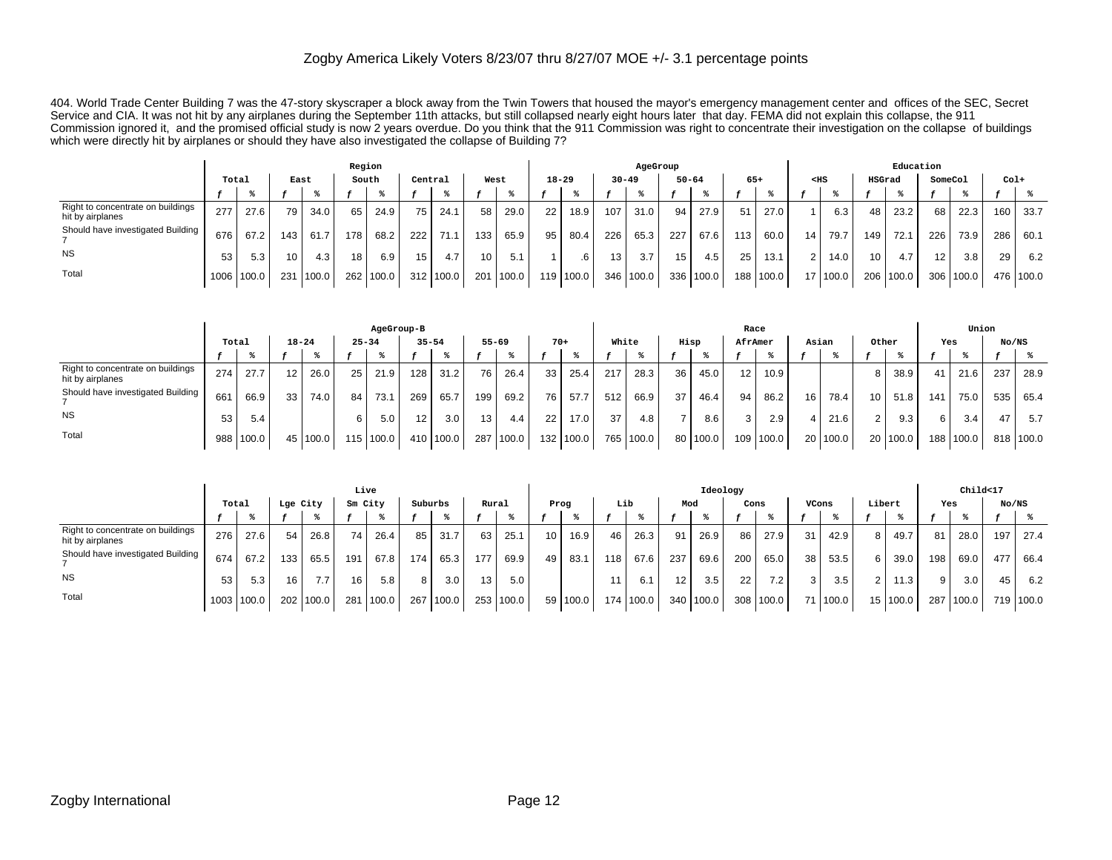404. World Trade Center Building 7 was the 47-story skyscraper a block away from the Twin Towers that housed the mayor's emergency management center and offices of the SEC, Secret Service and CIA. It was not hit by any airplanes during the September 11th attacks, but still collapsed nearly eight hours later that day. FEMA did not explain this collapse, the 911 Commission ignored it, and the promised official study is now 2 years overdue. Do you think that the 911 Commission was right to concentrate their investigation on the collapse of buildings which were directly hit by airplanes or should they have also investigated the collapse of Building 7?

|                                                       |       |            |      |       |                 | Region |                 |       |      |       |           |           |     | AgeGroup  |     |           |       |           |                 |          |                 | Education |         |           |      |           |
|-------------------------------------------------------|-------|------------|------|-------|-----------------|--------|-----------------|-------|------|-------|-----------|-----------|-----|-----------|-----|-----------|-------|-----------|-----------------|----------|-----------------|-----------|---------|-----------|------|-----------|
|                                                       | Total |            | East |       |                 | South  | Central         |       | West |       | $18 - 29$ |           |     | $30 - 49$ |     | $50 - 64$ | $65+$ |           | $<$ HS          |          | HSGrad          |           | SomeCol |           | Col+ |           |
|                                                       |       |            |      |       |                 |        |                 |       |      |       |           |           |     |           |     |           |       |           |                 |          |                 |           |         |           |      |           |
| Right to concentrate on buildings<br>hit by airplanes | 277   | 27.6       | 79   | 34.0  | 65              | 24.9   | 75              | 24.1  | 58   | 29.0  | 22        | 18.9      | 107 | 31.0      | 94  | 27.9      | 51    | 27.0      |                 | 6.3      | 48              | 23.2      | 68      | 22.3      | 160  | 33.7      |
| Should have investigated Building                     | 676   | 67.2       | 143  | 61.7  | 178             | 68.2   | 222             | 711   | 133  | 65.9  | 95        | 80.4      | 226 | 65.3      | 227 | 67.6      | 113   | 60.0      | 14 <sup>1</sup> | 79.7     | 149 I           | 72.1      | 226     | 73.9      | 286  | 60.1      |
| <b>NS</b>                                             |       | 5.3        | 10   | 4.3   | 18 <sub>1</sub> | 6.9    | 15 <sup>1</sup> | 4.7   | 10   | 5.1   |           |           | 13  | 3.7       | 15  | 4.5       | 25    | 13.1      | 2 <sub>1</sub>  | 14.0     | 10 <sup>1</sup> | 4.7       | 12      | 3.8       | 29   | 6.2       |
| Total                                                 |       | 1006 100.0 | 231  | 100.0 | 262             | 100.0  | 312             | 100.0 | 201  | 100.0 |           | 119 100.0 |     | 346 100.0 |     | 336 100.0 |       | 188 100.0 |                 | 17 100.0 |                 | 206 100.0 |         | 306 100.0 |      | 476 100.0 |

|                                                       |       |           |                 |       |     | AgeGroup-B |           |           |           |       |       |             |       |             |                 |          | Race              |           |                 |          |        |                  |     | Union     |       |       |
|-------------------------------------------------------|-------|-----------|-----------------|-------|-----|------------|-----------|-----------|-----------|-------|-------|-------------|-------|-------------|-----------------|----------|-------------------|-----------|-----------------|----------|--------|------------------|-----|-----------|-------|-------|
|                                                       | Total |           | $18 - 24$       |       |     | $25 - 34$  | $35 - 54$ |           | $55 - 69$ |       | $70+$ |             | White |             | Hisp            |          | AfrAmer           |           | Asian           |          | Other  |                  | Yes |           | No/NS |       |
|                                                       |       |           |                 |       |     |            |           |           |           |       |       |             |       |             |                 |          |                   |           |                 |          |        |                  |     |           |       |       |
| Right to concentrate on buildings<br>hit by airplanes | 274   | 27.7      | 12 <sub>1</sub> | 26.0. | 25  | 21.9       | 128       | 31.2      | 76        | 26.4  | 33    | 25.4        | 217   | 28.3        | 36              | 45.0     | $12 \overline{ }$ | 10.9      |                 |          | я      | 38.9             | 41  | 21.6      | 237   | 28.9  |
| Should have investigated Building                     | 661   | 66.9      | 33              | 74.0  | 84  | 73.1       | 269       | 65.7      | 199       | 69.2  | 76    | 57.7        | 512   | 66.9        | 37 <sub>1</sub> | 46.4     | 94                | 86.2      | 16 <sup>1</sup> | 78.4     | 10.    | 51.8             | 141 | 75.0      | 535   | 65.4  |
| <b>NS</b>                                             | 53    | 5.4       |                 |       | 6 I | 5.0        | 12        | 3.0       | 13        | 4.4   | 22    | 17.0        | 37    | 4.8         |                 | 8.6      | 3                 | 2.9       |                 | 21.6     | $\sim$ | 9.3 <sub>1</sub> | 6   | 3.4       | 47    | 5.7   |
| Total                                                 |       | 988 100.0 | 45              | 100.0 | 115 | 100.0      |           | 410 100.0 | 287       | 100.0 |       | 132   100.0 |       | 765   100.0 |                 | 80 100.0 |                   | 109 100.0 |                 | 20 100.0 |        | 20 100.0         |     | 188 100.0 | 818   | 100.0 |

|                                                       |       |            |          |       | Live    |       |         |       |       |           |      |          |     |           |                   | Ideology  |      |       |                |          |        |          |     | Child<17 |       |           |
|-------------------------------------------------------|-------|------------|----------|-------|---------|-------|---------|-------|-------|-----------|------|----------|-----|-----------|-------------------|-----------|------|-------|----------------|----------|--------|----------|-----|----------|-------|-----------|
|                                                       | Total |            | Lge City |       | Sm City |       | Suburbs |       | Rural |           | Prog |          | Lib |           | Mod               |           | Cons |       | VCons          |          | Libert |          | Yes |          | No/NS |           |
|                                                       |       |            |          |       |         |       |         |       |       |           |      |          |     |           |                   |           |      |       |                |          |        |          |     |          |       |           |
| Right to concentrate on buildings<br>hit by airplanes | 276   | 27.6       | 54       | 26.8  | 74      | 26.4  | 85      | 31.7  | 63    | 25.1      | 10   | 16.9     | 46  | 26.3      | 91                | 26.9      | 86   | 27.9  | 31             | 42.9     | 8      | 49.7     | 81  | 28.0     | 197   | 27.4      |
| Should have investigated Building                     | 674   | 67.2       | 133      | 65.5  | 191     | 67.8  | 174     | 65.3  | 177   | 69.9      | 49   | 83.1     | 118 | 67.6      | 237               | 69.6      | 200  | 65.0  | 38 I           | 53.5     | 6      | 39.0     | 198 | 69.0     | 477   | 66.4      |
| <b>NS</b>                                             | 53    | 5.3        | 16       | 7.7   | 16      | 5.8   | 8       | 3.0   | 13    | 5.0       |      |          | 11  | 6.1       | $12 \overline{ }$ | 3.5       | 22   | 7.2   | 3 <sub>1</sub> | 3.5      |        | 11.3     | 9   | 3.0      | 45    | 6.2       |
| Total                                                 |       | 1003 100.0 | 202      | 100.0 | 281     | 100.0 | 267     | 100.0 |       | 253 100.0 |      | 59 100.0 |     | 174 100.0 |                   | 340 100.0 | 308  | 100.0 |                | 71 100.0 |        | 15 100.0 | 287 | 1100.0   |       | 719 100.0 |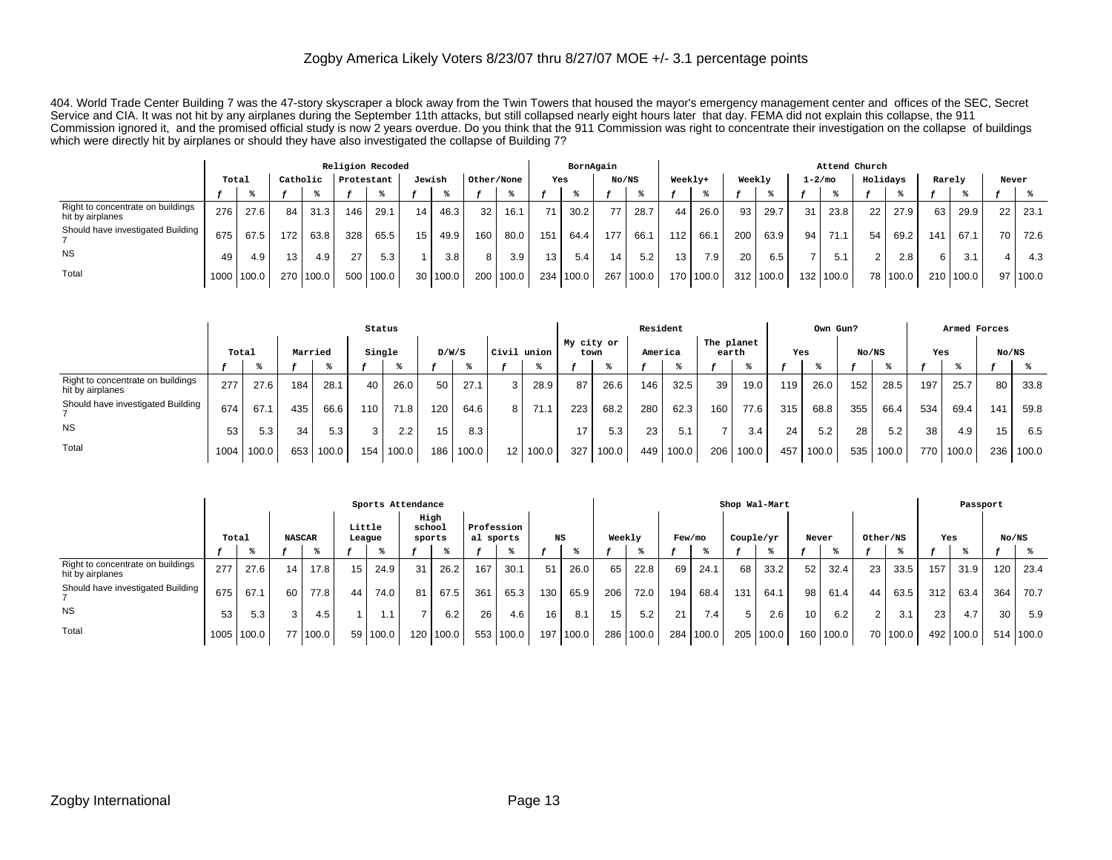404. World Trade Center Building 7 was the 47-story skyscraper a block away from the Twin Towers that housed the mayor's emergency management center and offices of the SEC, Secret Service and CIA. It was not hit by any airplanes during the September 11th attacks, but still collapsed nearly eight hours later that day. FEMA did not explain this collapse, the 911 Commission ignored it, and the promised official study is now 2 years overdue. Do you think that the 911 Commission was right to concentrate their investigation on the collapse of buildings which were directly hit by airplanes or should they have also investigated the collapse of Building 7?

|                                                       |       |            |                  |       | Religion Recoded |        |        |       |            |       |                 | BornAgain |       |       |         |           |        |           |                 | Attend Church |                 |          |        |           |                 |          |
|-------------------------------------------------------|-------|------------|------------------|-------|------------------|--------|--------|-------|------------|-------|-----------------|-----------|-------|-------|---------|-----------|--------|-----------|-----------------|---------------|-----------------|----------|--------|-----------|-----------------|----------|
|                                                       | Total |            | Catholic         |       | Protestant       |        | Jewish |       | Other/None |       | Yes             |           | No/NS |       | Weekly+ |           | Weekly |           | $1 - 2/m$ o     |               | Holidays        |          | Rarely |           | Never           |          |
|                                                       |       |            |                  |       |                  |        |        |       |            |       |                 |           |       |       |         |           |        |           |                 |               |                 |          |        |           |                 |          |
| Right to concentrate on buildings<br>hit by airplanes | 276   | 27.6       | 84               | 31.3  | 146              | 29.1   | 14     | 46.3  | 32         | 16.1  | 71              | 30.2      | 77    | 28.7  | 44      | 26.0      | 93     | 29.7      | 31              | 23.8          | 22 <sub>1</sub> | 27.9     | 63     | 29.9      | 22              | 23.1     |
| Should have investigated Building                     | 675   | 67.5       | 172              | 63.8  | 328              | 65.5   | 15     | 49.9  | 160        | 80.0  | 151             | 64.4      | 177   | 66.1  | 112     | 66.1      | 200    | 63.9      | 94 <sub>1</sub> | 71.1          | 54              | 69.2     | 141    | 67.1      | 70 <sub>1</sub> | 72.6     |
| <b>NS</b>                                             | 49    | 4.9        | 13 <sub>1</sub>  | 4.9   | 27               | 5.3    |        | 3.8   |            | 3.9   | 13 <sub>1</sub> | 5.4       | 14    | 5.2   | 13      | 7.9       | 20     | 6.5       |                 | 5.1           | $\Omega$        | 2.8      | 6      | 3.1       |                 | 4.3      |
| Total                                                 |       | 1000 100.0 | 270 <sub>1</sub> | 100.0 | 500              | 1100.0 | 30     | 100.0 | 200        | 100.0 |                 | 234 100.0 | 267   | 100.0 |         | 170 100.0 |        | 312 100.0 |                 | 132 100.0     |                 | 78 100.0 |        | 210 100.0 |                 | 97 100.0 |

|                                                       |       |       |         |       | Status           |       |     |       |       |         |                    |       | Resident |       |                     |       |     | Own Gun? |       |       |       | Armed Forces |       |       |
|-------------------------------------------------------|-------|-------|---------|-------|------------------|-------|-----|-------|-------|---------|--------------------|-------|----------|-------|---------------------|-------|-----|----------|-------|-------|-------|--------------|-------|-------|
|                                                       | Total |       | Married |       | Single           |       |     | D/W/S | Civil | . union | My city or<br>town |       | America  |       | The planet<br>earth |       | Yes |          | No/NS |       | Yes   |              | No/NS |       |
|                                                       |       |       |         |       |                  |       |     |       |       |         |                    |       |          |       |                     |       |     |          |       |       |       |              |       |       |
| Right to concentrate on buildings<br>hit by airplanes | 277   | 27.6  | 184     | 28.1  | 40               | 26.0  | 50  | 27.1  | 3     | 28.9    | 87                 | 26.6  | 146      | 32.5  | 39                  | 19.0  | 119 | 26.0     | 152   | 28.5  | 197   | 25.7         | 80    | 33.8  |
| Should have investigated Building                     | 674   | 67.1  | 435     | 66.6  | 110 <sub>1</sub> | 71.8  | 120 | 64.6  | 8     | 71.1    | 223                | 68.2  | 280      | 62.3  | 160                 | 77.6  | 315 | 68.8     | 355   | 66.4  | 534   | 69.4         | 141   | 59.8  |
| <b>NS</b>                                             | 53    | 5.3   | 34      | 5.3   | 3 I              | 2.2   | 15  | 8.3   |       |         | 17                 | 5.3   | 23       | 5.1   | $\overline{ }$      | 3.4   | 24  | 5.2      | 28    | 5.2   | 38    | 4.9          | 15    | 6.5   |
| Total                                                 | 1004  | 100.0 | 653     | 100.0 | 154              | 100.0 | 186 | 100.0 | 12    | 100.0   | 327                | 100.0 | 449      | 100.0 | 206                 | 100.0 | 457 | 100.0    | 535   | 100.0 | 770 l | 100.0        | 236   | 100.0 |

|                                                       |       |            |               |       |                  | Sports Attendance |                          |           |           |            |                  |       |        |           |     |           |           | Shop Wal-Mart |                 |             |          |          |                 | Passport  |       |           |
|-------------------------------------------------------|-------|------------|---------------|-------|------------------|-------------------|--------------------------|-----------|-----------|------------|------------------|-------|--------|-----------|-----|-----------|-----------|---------------|-----------------|-------------|----------|----------|-----------------|-----------|-------|-----------|
|                                                       | Total |            | <b>NASCAR</b> |       | Little<br>League |                   | High<br>school<br>sports |           | al sports | Profession | NS               |       | Weekly |           |     | Few/mo    | Couple/yr |               |                 | Never       | Other/NS |          | Yes             |           | No/NS |           |
|                                                       |       |            |               |       |                  |                   |                          |           |           |            |                  |       |        |           |     |           |           |               |                 |             |          |          |                 |           |       |           |
| Right to concentrate on buildings<br>hit by airplanes | 277   | 27.6       | 14            | 17.8  | 15               | 24.9              | 31                       | 26.2      | 167       | 30.1       | 51               | 26.0  | 65     | 22.8      | 69  | 24.1      | 68        | 33.2          | 52 <sub>1</sub> | 32.4        | 23       | 33.5     | 157             | 31.9      | 120   | 23.4      |
| Should have investigated Building                     | 675   | 67.1       | 60            | 77.8  | 44               | 74.0              | 81                       | 67.5      | 361       | 65.3       | 130              | 65.9  | 206    | 72.0      | 194 | 68.4      | 131       | 64.1          | 98              | 61.4        | 44       | 63.5     | 312             | 63.4      | 364   | 70.7      |
| <b>NS</b>                                             | 53    | 5.3        |               | 4.5   |                  |                   |                          | 6.2       | 26        | 4.6        | 16 <sub>1</sub>  | 8.1   | 15     | 5.2       | 21  | $7.4 \;$  | 5         | 2.6           | 10 <sub>1</sub> | 6.2         | 2        | 3.1      | 23 <sub>1</sub> | 4.7       | 30    | 5.9       |
| Total                                                 |       | 1005 100.0 |               | 100.0 | 59               | 100.0             |                          | 120 100.0 |           | 553 100.0  | 197 <sup>1</sup> | 100.0 |        | 286 100.0 |     | 284 100.0 |           | 205 100.0     |                 | 160   100.0 |          | 70 100.0 |                 | 492 100.0 |       | 514 100.0 |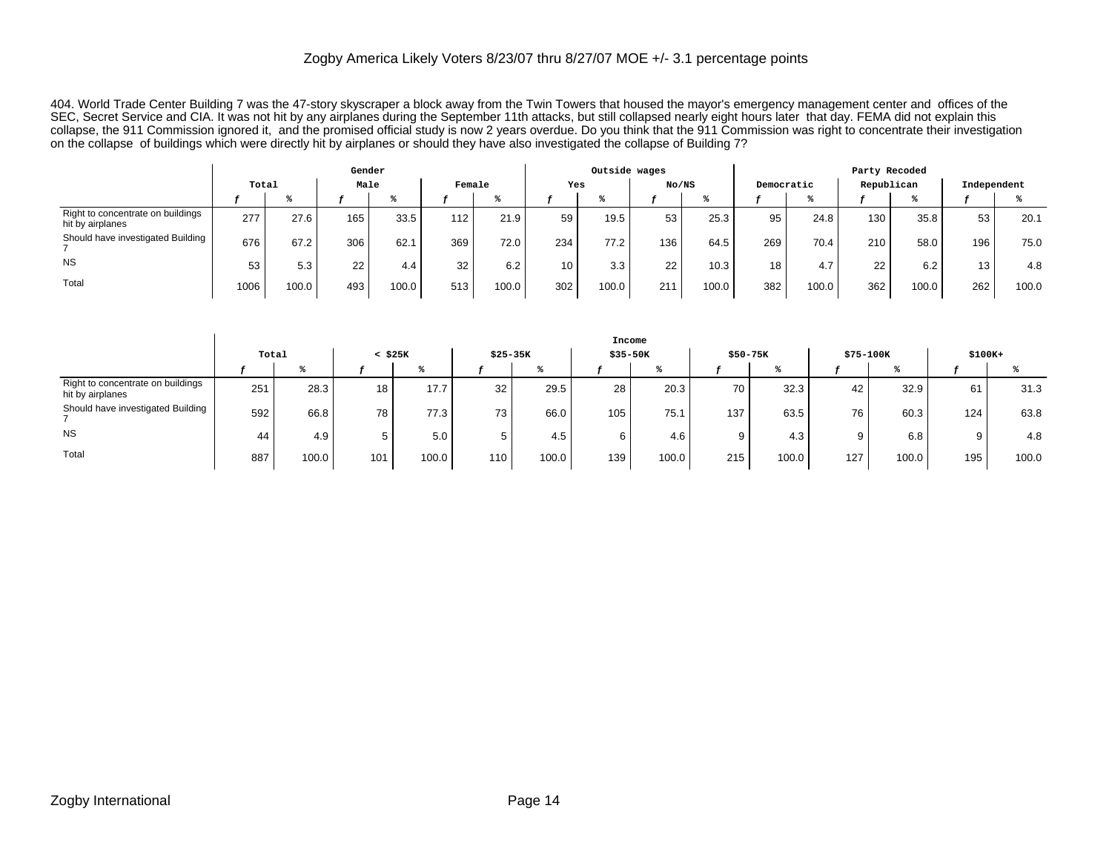404. World Trade Center Building 7 was the 47-story skyscraper a block away from the Twin Towers that housed the mayor's emergency management center and offices of the SEC, Secret Service and CIA. It was not hit by any airplanes during the September 11th attacks, but still collapsed nearly eight hours later that day. FEMA did not explain this collapse, the 911 Commission ignored it, and the promised official study is now 2 years overdue. Do you think that the 911 Commission was right to concentrate their investigation on the collapse of buildings which were directly hit by airplanes or should they have also investigated the collapse of Building 7?

|                                                       |       |                    | Gender |       |        |       |     | Outside wages |       |       |     |            | Party Recoded    |                  |                 |       |
|-------------------------------------------------------|-------|--------------------|--------|-------|--------|-------|-----|---------------|-------|-------|-----|------------|------------------|------------------|-----------------|-------|
|                                                       | Total |                    | Male   |       | Female |       | Yes |               | No/NS |       |     | Democratic | Republican       |                  | Independent     |       |
|                                                       |       |                    |        |       |        |       |     |               |       |       |     |            |                  |                  |                 |       |
| Right to concentrate on buildings<br>hit by airplanes | 277   | 27.6               | 165    | 33.5  | 112    | 21.9  | 59  | 19.5          | 53    | 25.3  | 95  | 24.8       | 130 <sub>1</sub> | 35.8             | 53              | 20.1  |
| Should have investigated Building                     | 676   | 67.2               | 306    | 62.1  | 369    | 72.0  | 234 | 77.2          | 136.  | 64.5  | 269 | 70.4       | 210 <sub>1</sub> | 58.0             | 196             | 75.0  |
| <b>NS</b>                                             | 53    | 5.3                | 22     | 4.4   | 32     | 6.2   | 10  | 3.3           | 22    | 10.3  | 18  | 4.7        | 22               | 6.2 <sub>1</sub> | 13 <sub>1</sub> | 4.8   |
| Total                                                 | 1006  | 100.0 <sub>1</sub> | 493    | 100.0 | 513    | 100.0 | 302 | 100.0         | 211   | 100.0 | 382 | 100.0      | 362              | 100.0            | 262             | 100.0 |

|                                                       |       |       |              |       |           |                    | Income |          |     |           |     |           |          |       |
|-------------------------------------------------------|-------|-------|--------------|-------|-----------|--------------------|--------|----------|-----|-----------|-----|-----------|----------|-------|
|                                                       | Total |       | $<$ \$25 $K$ |       | $$25-35K$ |                    |        | \$35-50K |     | $$50-75K$ |     | \$75-100K | $$100K+$ |       |
|                                                       |       |       |              |       |           |                    |        |          |     |           |     |           |          |       |
| Right to concentrate on buildings<br>hit by airplanes | 251   | 28.3  | 18           | 17.7  | 32        | 29.5               | 28     | 20.3     | 70  | 32.3      | 42  | 32.9      | 61       | 31.3  |
| Should have investigated Building                     | 592   | 66.8  | 78           | 77.3  | 73        | 66.0               | 105    | 75.1     | 137 | 63.5      | 76  | 60.3      | 124      | 63.8  |
| <b>NS</b>                                             | 44    | 4.9   | Ð            | 5.0   |           | 4.5                |        | 4.6      |     | 4.3       |     | 6.8       |          | 4.8   |
| Total                                                 | 887   | 100.0 | 101          | 100.0 | 110.      | 100.0 <sub>1</sub> | 139    | 100.0    | 215 | 100.0     | 127 | 100.0     | 195      | 100.0 |

 $\overline{\phantom{a}}$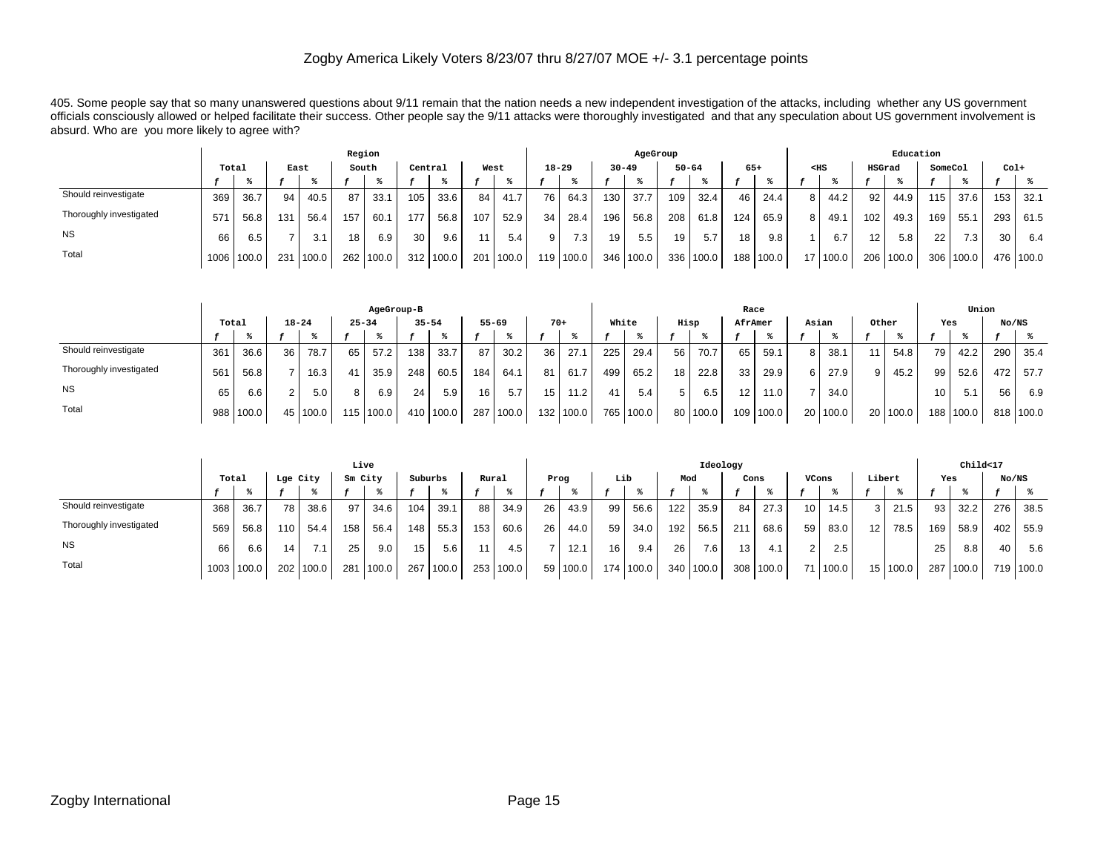405. Some people say that so many unanswered questions about 9/11 remain that the nation needs a new independent investigation of the attacks, including whether any US government officials consciously allowed or helped facilitate their success. Other people say the 9/11 attacks were thoroughly investigated and that any speculation about US government involvement is absurd. Who are you more likely to agree with?

|                         |       |            |      |       | Region |       |         |       |     |       |           |                  |                  | AgeGroup  |     |           |       |           |                |          |                 | Education |         |       |        |           |
|-------------------------|-------|------------|------|-------|--------|-------|---------|-------|-----|-------|-----------|------------------|------------------|-----------|-----|-----------|-------|-----------|----------------|----------|-----------------|-----------|---------|-------|--------|-----------|
|                         | Total |            | East |       |        | South | Central |       |     | West  | $18 - 29$ |                  | $30 - 49$        |           |     | $50 - 64$ | $65+$ |           | $<$ HS         |          | HSGrad          |           | SomeCol |       | $Col+$ |           |
|                         |       |            |      |       |        |       |         |       |     |       |           |                  |                  |           |     |           |       |           |                |          |                 |           |         |       |        |           |
| Should reinvestigate    | 369   | 36.7       | 94   | 40.5  | 87     | 33.7  | 105     | 33.6  | 84  | 41.7  | 76        | 64.3             | 130 <sup>1</sup> | 37.7      | 109 | 32.4      | 46    | 24.4      | 8 <sub>1</sub> | 44.2     | 92              | 44.9      | 115     | 37.6  | 153    | -32.1     |
| Thoroughly investigated | 571   | 56.8       | 131  | 56.4  | 157    | 60.   | 177     | 56.8  | 107 | 52.9  | 34        | 28.4             | 196              | 56.8      | 208 | 61.8      | 124   | 65.9      | 8 I            | 49.1     | 102             | 49.3      | 169     | 55.1  | 293    | 61.5      |
| <b>NS</b>               | 66    | 6.5        |      | 3.1   | 18     | 6.9   | 30      | 9.6   | 11. | 5.4   | 9         | 7.3 <sub>1</sub> | 19               | 5.5       | 19  | 5.7       | 18    | 9.8       |                | 6.7      | 12 <sub>1</sub> | 5.8       | 22      | 7.3   | 30     | 6.4       |
| Total                   |       | 1006 100.0 | 231  | 100.0 | 262    | 100.0 | 312     | 100.0 | 201 | 100.0 |           | 119   100.0      |                  | 346 100.0 |     | 336 100.0 |       | 188 100.0 |                | 17 100.0 |                 | 206 100.0 | 306     | 100.0 |        | 476 100.0 |

|                         |       |       |           |                  |           | AgeGroup-B |           |       |           |       |       |           |       |           |    |          | Race            |           |     |          |                |            |     | Union     |       |           |
|-------------------------|-------|-------|-----------|------------------|-----------|------------|-----------|-------|-----------|-------|-------|-----------|-------|-----------|----|----------|-----------------|-----------|-----|----------|----------------|------------|-----|-----------|-------|-----------|
|                         | Total |       | $18 - 24$ |                  | $25 - 34$ |            | $35 - 54$ |       | $55 - 69$ |       | $70+$ |           | White |           |    | Hisp     | AfrAmer         |           |     | Asian    | Other          |            | Yes |           | No/NS |           |
|                         |       |       |           |                  |           |            |           |       |           |       |       |           |       |           |    |          |                 |           |     |          |                |            |     |           |       |           |
| Should reinvestigate    | 361   | 36.6  | 36        | 78.7             | 65        | 57.2       | 138       | 33.7  | 87        | 30.2  | 36    | 27.7      | 225   | 29.4      | 56 | 70.7     | 65              | 59.1      | 8 I | 38.7     |                | 54.8       | 79  | 42.2      | 290   | 35.4      |
| Thoroughly investigated | 561   | 56.8  |           | 16.3             | 41        | 35.9       | 248       | 60.5  | 184       | 64.1  | 81    | 61.7      | 499   | 65.2      | 18 | 22.8     | 33 <sub>1</sub> | 29.9      | 6 I | 27.9     | 9 <sub>1</sub> | 45.2       | 99  | 52.6      | 472   | 57.7      |
| <b>NS</b>               | 65    | 6.6   | $\sim$    | 5.0 <sub>1</sub> |           | 6.9        | 24        | 5.9   | 16        | 5.7   | 15    | 11.2      |       | 5.4       |    | 6.5      | 12 <sub>1</sub> | 11.0      |     | 34.0     |                |            | 10  | 5.1       | 56    | 6.9       |
| Total                   | 988   | 100.0 | 45        | 100.0            |           | 115 100.0  | 410 l     | 100.0 | 287 I     | 100.0 |       | 132 100.0 |       | 765 100.0 |    | 80 100.0 |                 | 109 100.0 |     | 20 100.0 |                | 20   100.0 |     | 188 100.0 |       | 818 100.0 |

|                         |       |       |     |          | Live    |       |         |       |       |       |      |          |                 |           |                  | Ideology         |                 |       |                 |                   |                 |            |     | Child<17 |       |           |
|-------------------------|-------|-------|-----|----------|---------|-------|---------|-------|-------|-------|------|----------|-----------------|-----------|------------------|------------------|-----------------|-------|-----------------|-------------------|-----------------|------------|-----|----------|-------|-----------|
|                         | Total |       |     | Lge City | Sm City |       | Suburbs |       | Rural |       | Prog |          | Lib             |           | Mod              |                  | Cons            |       | VCons           |                   | Libert          |            | Yes |          | No/NS |           |
|                         |       |       |     |          |         |       |         |       |       |       |      |          |                 |           |                  |                  |                 |       |                 |                   |                 |            |     |          |       |           |
| Should reinvestigate    | 368   | 36.7  | 78  | 38.6     | 97      | 34.6  | 104     | 39.1  | 88 l  | 34.9  | 26   | 43.9     | 99              | 56.6      | 122 <sub>1</sub> | 35.9             | 84              | 27.3  | 10 <sub>1</sub> | 14.5 <sub>1</sub> |                 | 21.5       | 93  | 32.2     | 276   | 38.5      |
| Thoroughly investigated | 569   | 56.8  | 110 | 54.4     | 158     | 56.4  | 148     | 55.3  | 153   | 60.6  | 26   | 44.0     | 59 <sub>1</sub> | 34.0      | 192              | 56.5             | 21'             | 68.6  | 59              | 83.0              | 12 <sub>1</sub> | 78.5       | 169 | 58.9     | 402   | 55.9      |
| <b>NS</b>               | 66    | 6.6   | 14  | 7.1      | 25      | 9.0   | 15      | 5.6   | 11    | 4.5   |      | 12.1     | 16              | 9.4       | 26               | 7.6 <sub>1</sub> | 13 <sub>1</sub> | 4.1   | $\overline{2}$  | 2.5               |                 |            | 25  | 8.8      | 40    | 5.6       |
| Total                   | 1003  | 100.0 | 202 | 100.0    | 281     | 100.0 | 267 l   | 100.0 | 253   | 100.0 |      | 59 100.0 |                 | 174 100.0 |                  | 340 100.0        | 308             | 100.0 |                 | 71 100.0          |                 | 15   100.0 | 287 | 100.0    |       | 719 100.0 |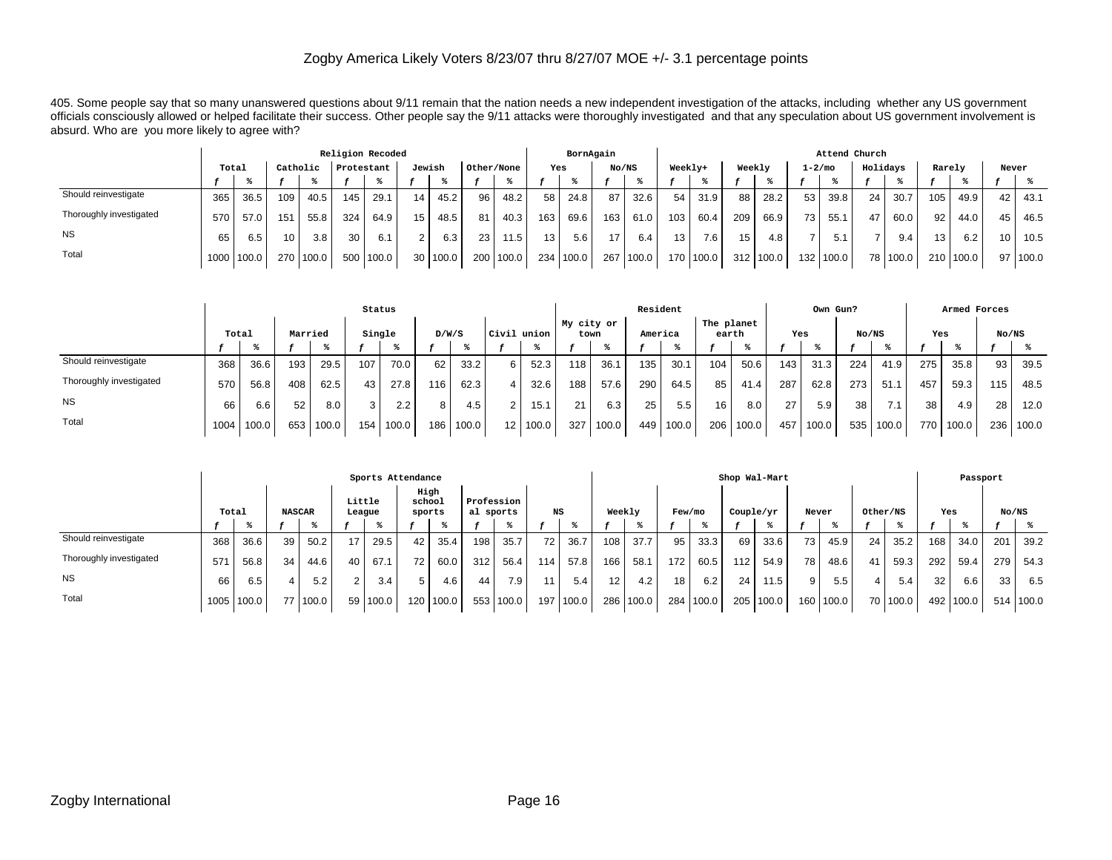405. Some people say that so many unanswered questions about 9/11 remain that the nation needs a new independent investigation of the attacks, including whether any US government officials consciously allowed or helped facilitate their success. Other people say the 9/11 attacks were thoroughly investigated and that any speculation about US government involvement is absurd. Who are you more likely to agree with?

|                         |       |        |          |       |            | Religion Recoded |        |          |            |           |     | BornAgain |                 |        |                 |           |        |             |                 | Attend Church |          |            |                 |           |       |       |
|-------------------------|-------|--------|----------|-------|------------|------------------|--------|----------|------------|-----------|-----|-----------|-----------------|--------|-----------------|-----------|--------|-------------|-----------------|---------------|----------|------------|-----------------|-----------|-------|-------|
|                         | Total |        | Catholic |       | Protestant |                  | Jewish |          | Other/None |           | Yes |           | No/NS           |        | Weekly+         |           | Weekly |             | $1 - 2/m$ o     |               | Holidays |            | Rarely          |           | Never |       |
|                         |       |        |          |       |            |                  |        |          |            |           |     |           |                 |        |                 |           |        |             |                 |               |          |            |                 |           |       |       |
| Should reinvestigate    | 365   | 36.5   | 109      | 40.5  | 145        | 29.7             | 14     | 45.2     | 96         | 48.2      | 58  | 24.8      | 87 <sub>1</sub> | 32.6   | 54              | 31.9      | 88 l   | 28.2        | 53              | 39.8          | 24       | 30.7       | 105             | 49.9      | 42    | 43.1  |
| Thoroughly investigated | 570   | 57.0   | 151      | 55.8  | 324        | 64.9             | 15     | 48.5     | 81         | 40.3      | 163 | 69.6      | 163             | 61.0   | 103             | 60.4      | 209    | 66.9        | 73 <sub>1</sub> | 55.1          | 47       | 60.0       | 92.             | 44.0      | 45    | 46.5  |
| <b>NS</b>               | 65    | 6.5    | 10       | 3.8   | 30         | 6.1              | $\sim$ | 6.3      | 23         | 11.5      | 13  | 5.6       | 17              | 6.4    | 13 <sub>1</sub> | 7.6.      | 15     | 4.8         |                 | 5.1           |          | 9.4        | 13 <sup>1</sup> | 6.2       | 10    | 10.5  |
| Total                   | 1000  | '100.0 | 270      | 100.0 | 500        | 100.0            |        | 30 100.0 |            | 200 100.0 |     | 234 100.0 | 267             | 1100.0 |                 | 170 100.0 |        | 312   100.0 | 132             | 100.0         |          | 78   100.0 |                 | 210 100.0 | 97    | 100.0 |

|                         | Status |       |     |       |     |       |     |       |                 |       |     | Resident |         |       |        |       |       | Own Gun? |                       |                       |                    | Armed Forces |         |       |                     |  |     |  |       |  |     |  |       |  |
|-------------------------|--------|-------|-----|-------|-----|-------|-----|-------|-----------------|-------|-----|----------|---------|-------|--------|-------|-------|----------|-----------------------|-----------------------|--------------------|--------------|---------|-------|---------------------|--|-----|--|-------|--|-----|--|-------|--|
|                         | Total  |       |     |       |     |       |     |       |                 |       |     |          | Married |       | Single |       | D/W/S |          | <b>Civil</b><br>union |                       | My city or<br>town |              | America |       | The planet<br>earth |  | Yes |  | No/NS |  | Yes |  | No/NS |  |
|                         |        |       |     |       |     |       |     |       |                 |       |     |          |         |       |        |       |       |          |                       |                       |                    |              |         |       |                     |  |     |  |       |  |     |  |       |  |
| Should reinvestigate    | 368    | 36.6  | 193 | 29.5  | 107 | 70.0  | 62  | 33.2  | 6               | 52.3  | 118 | 36.1     | 135     | 30.1  | 104    | 50.6  | 143   | 31.3     | 224                   | 41.9                  | 275                | 35.8         | 93      | 39.5  |                     |  |     |  |       |  |     |  |       |  |
| Thoroughly investigated | 570    | 56.8  | 408 | 62.5  | 43  | 27.8  | 116 | 62.3  | 4               | 32.6  | 188 | 57.6     | 290     | 64.5  | 85     | 41.4  | 287   | 62.8     | 273                   | 51.                   | 457                | 59.3         | 115     | 48.5  |                     |  |     |  |       |  |     |  |       |  |
| <b>NS</b>               | 66     | 6.6   | 52  | 8.0   |     | 2.2   | 8   | 4.5   | 2               | 15.1  | 21  | 6.3      | 25      | 5.5   | 16     | 8.0   | 27    | 5.9      | 38                    | 71<br>$\mathcal{L}$ . | 38                 | 4.9          | 28      | 12.0  |                     |  |     |  |       |  |     |  |       |  |
| Total                   | 1004   | 100.0 | 653 | 100.0 | 154 | 100.0 | 186 | 100.0 | 12 <sub>1</sub> | 100.0 | 327 | 100.0    | 449     | 100.0 | 206    | 100.0 | 457   | 100.0    | 535                   | 100.0                 | 770.               | 100.0        | 236     | 100.0 |                     |  |     |  |       |  |     |  |       |  |

|                         | Sports Attendance |       |     |       |               |          |                  |           |                          |       |                  | Shop Wal-Mart                 |                   |           |        |           |                 |           |           |       |       | Passport |          |       |     |           |       |  |
|-------------------------|-------------------|-------|-----|-------|---------------|----------|------------------|-----------|--------------------------|-------|------------------|-------------------------------|-------------------|-----------|--------|-----------|-----------------|-----------|-----------|-------|-------|----------|----------|-------|-----|-----------|-------|--|
|                         | Total             |       |     |       | <b>NASCAR</b> |          | Little<br>League |           | High<br>school<br>sports |       |                  | Profession<br>NS<br>al sports |                   |           | Weekly |           | Few/mo          |           | Couple/yr |       | Never |          | Other/NS |       | Yes |           | No/NS |  |
|                         |                   |       |     |       |               |          |                  |           |                          |       |                  |                               |                   |           |        |           |                 |           |           |       |       |          |          |       |     |           |       |  |
| Should reinvestigate    | 368               | 36.6  | 39  | 50.2  | 17            | 29.5     | 42               | 35.4      | 198                      | 35.7  | 72 <sub>1</sub>  | 36.7                          | 108               | 37.7      | 95     | 33.3      | 69              | 33.6      | 73        | 45.9  | 24    | 35.2     | 168      | 34.0  | 201 | 39.2      |       |  |
| Thoroughly investigated | 571               | 56.8  | 34  | 44.6  | 40            | 67.1     | 72               | 60.0      | 312                      | 56.4  | 114 <sub>1</sub> | 57.8                          | 166 <sub>1</sub>  | 58.1      | 172    | 60.5      | 112             | 54.9      | 78 ہ      | 48.6  | 41    | 59.3     | 292      | 59.4  | 279 | 54.3      |       |  |
| <b>NS</b>               | 66                | 6.5   |     | 5.2   | C             | 3.4      | 5                | 4.6       | 44                       | 7.9   | 11               | 5.4                           | $12 \overline{ }$ | 4.2       | 18     | 6.2       | 24 <sub>1</sub> | 1.5       | 9         | 5.5   |       | 5.4      | 32       | 6.6   | 33  | 6.5       |       |  |
| Total                   | 1005              | 100.0 | 77. | 100.0 |               | 59 100.0 |                  | 120 100.0 | 553                      | 100.0 | 197              | 100.0                         |                   | 286 100.0 |        | 284 100.0 |                 | 205 100.0 | 160       | 100.0 | 70    | 100.0    | 492      | 100.0 |     | 514 100.0 |       |  |